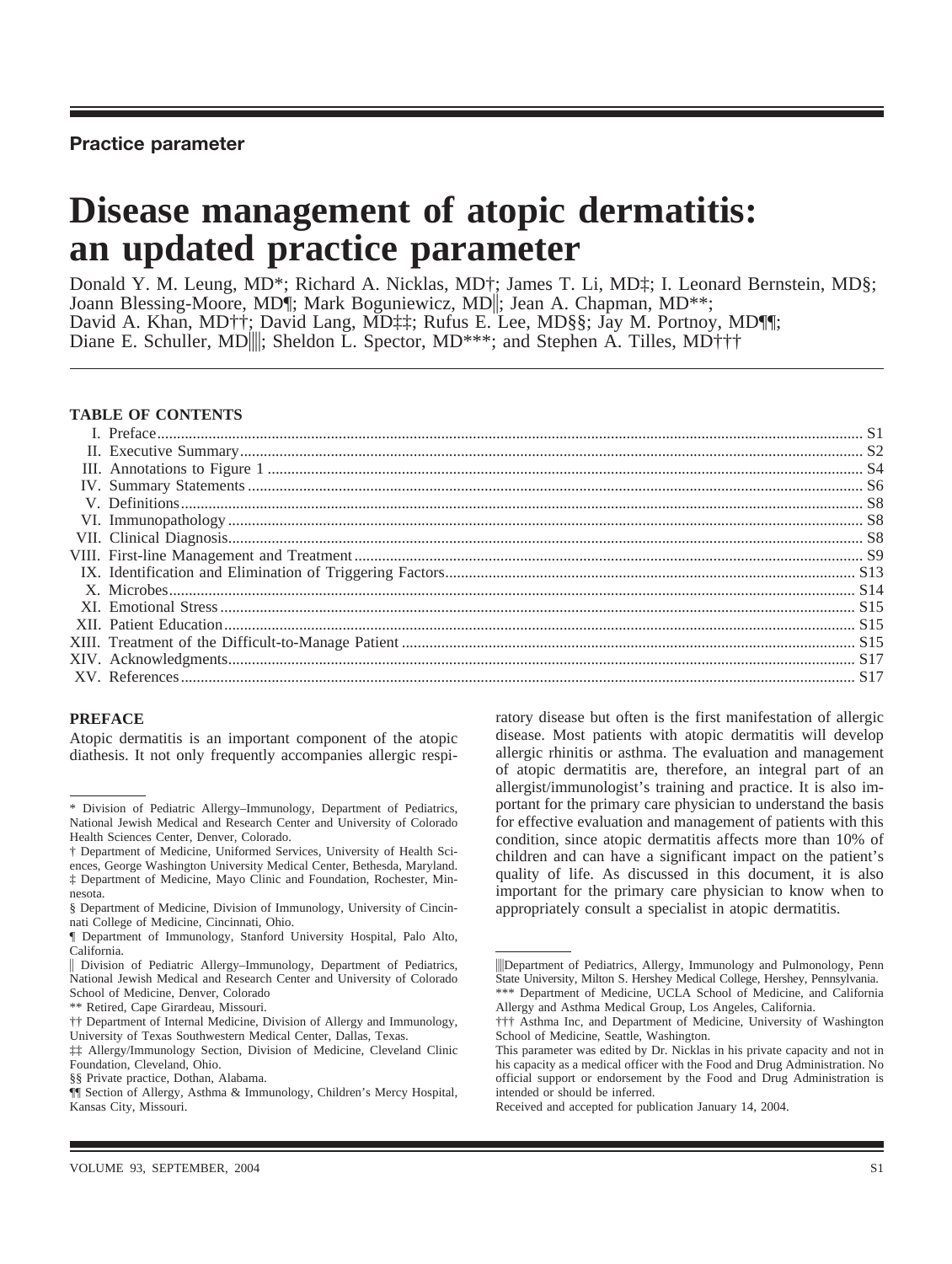# **Disease management of atopic dermatitis: an updated practice parameter**

Donald Y. M. Leung, MD\*; Richard A. Nicklas, MD†; James T. Li, MD‡; I. Leonard Bernstein, MD§; Joann Blessing-Moore, MD¶; Mark Boguniewicz, MD||; Jean A. Chapman, MD<sup>\*\*</sup>; David A. Khan, MD††; David Lang, MD‡‡; Rufus E. Lee, MD§§; Jay M. Portnoy, MD¶¶; Diane E. Schuller, MD||||; Sheldon L. Spector, MD\*\*\*; and Stephen A. Tilles, MD†††

#### **TABLE OF CONTENTS**

## **PREFACE**

Atopic dermatitis is an important component of the atopic diathesis. It not only frequently accompanies allergic respi-

\*\* Retired, Cape Girardeau, Missouri.

§§ Private practice, Dothan, Alabama.

ratory disease but often is the first manifestation of allergic disease. Most patients with atopic dermatitis will develop allergic rhinitis or asthma. The evaluation and management of atopic dermatitis are, therefore, an integral part of an allergist/immunologist's training and practice. It is also important for the primary care physician to understand the basis for effective evaluation and management of patients with this condition, since atopic dermatitis affects more than 10% of children and can have a significant impact on the patient's quality of life. As discussed in this document, it is also important for the primary care physician to know when to appropriately consult a specialist in atopic dermatitis.

<sup>\*</sup> Division of Pediatric Allergy–Immunology, Department of Pediatrics, National Jewish Medical and Research Center and University of Colorado Health Sciences Center, Denver, Colorado.

<sup>†</sup> Department of Medicine, Uniformed Services, University of Health Sciences, George Washington University Medical Center, Bethesda, Maryland. ‡ Department of Medicine, Mayo Clinic and Foundation, Rochester, Minnesota.

<sup>§</sup> Department of Medicine, Division of Immunology, University of Cincinnati College of Medicine, Cincinnati, Ohio.

<sup>¶</sup> Department of Immunology, Stanford University Hospital, Palo Alto, California.

Division of Pediatric Allergy–Immunology, Department of Pediatrics, National Jewish Medical and Research Center and University of Colorado School of Medicine, Denver, Colorado

<sup>††</sup> Department of Internal Medicine, Division of Allergy and Immunology, University of Texas Southwestern Medical Center, Dallas, Texas.

<sup>‡‡</sup> Allergy/Immunology Section, Division of Medicine, Cleveland Clinic Foundation, Cleveland, Ohio.

<sup>¶¶</sup> Section of Allergy, Asthma & Immunology, Children's Mercy Hospital, Kansas City, Missouri.

Department of Pediatrics, Allergy, Immunology and Pulmonology, Penn State University, Milton S. Hershey Medical College, Hershey, Pennsylvania. \*\*\* Department of Medicine, UCLA School of Medicine, and California

Allergy and Asthma Medical Group, Los Angeles, California. ††† Asthma Inc, and Department of Medicine, University of Washington School of Medicine, Seattle, Washington.

This parameter was edited by Dr. Nicklas in his private capacity and not in his capacity as a medical officer with the Food and Drug Administration. No official support or endorsement by the Food and Drug Administration is intended or should be inferred.

Received and accepted for publication January 14, 2004.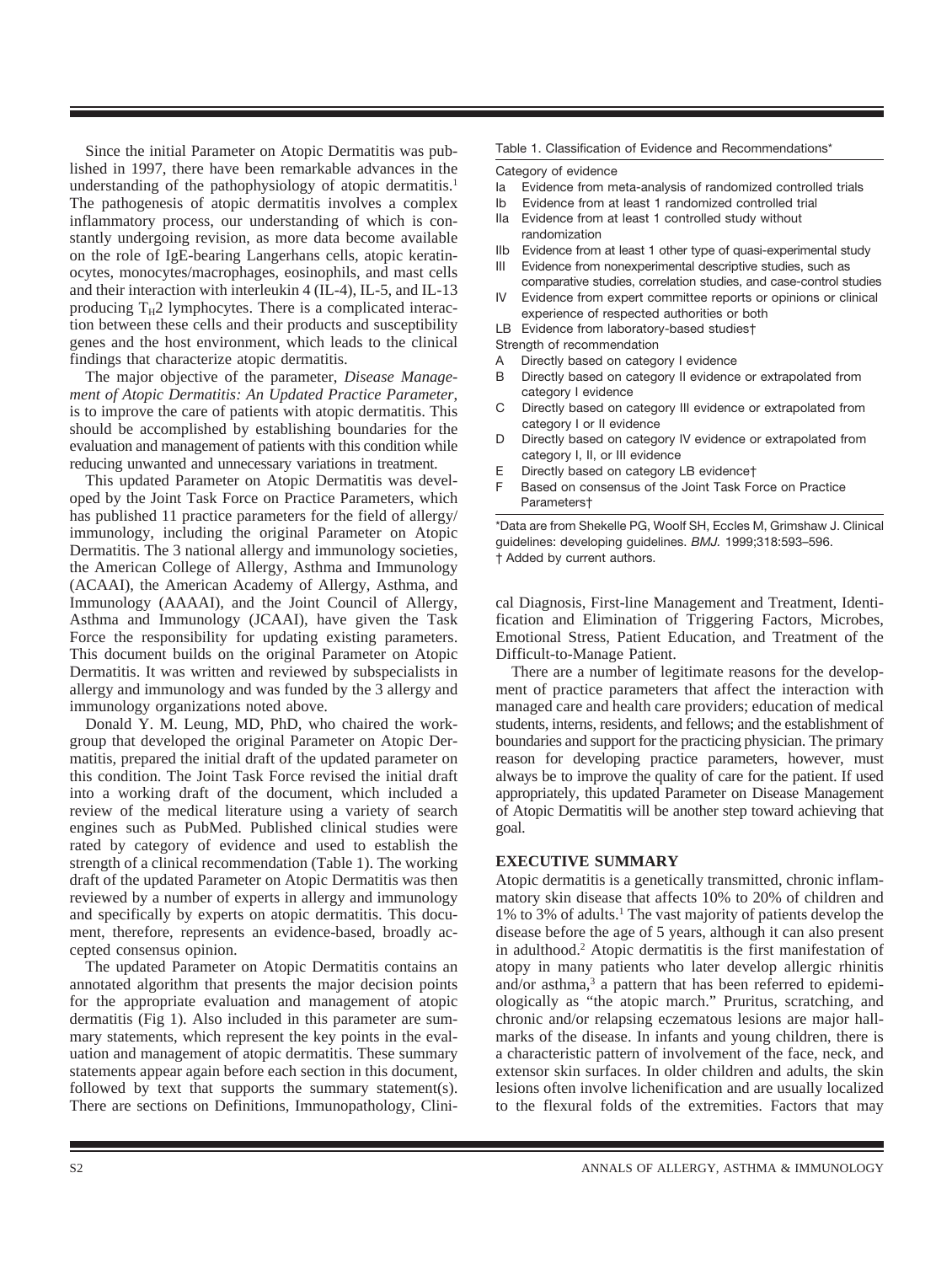Since the initial Parameter on Atopic Dermatitis was published in 1997, there have been remarkable advances in the understanding of the pathophysiology of atopic dermatitis.<sup>1</sup> The pathogenesis of atopic dermatitis involves a complex inflammatory process, our understanding of which is constantly undergoing revision, as more data become available on the role of IgE-bearing Langerhans cells, atopic keratinocytes, monocytes/macrophages, eosinophils, and mast cells and their interaction with interleukin 4 (IL-4), IL-5, and IL-13 producing  $T_H2$  lymphocytes. There is a complicated interaction between these cells and their products and susceptibility genes and the host environment, which leads to the clinical findings that characterize atopic dermatitis.

The major objective of the parameter, *Disease Management of Atopic Dermatitis: An Updated Practice Parameter*, is to improve the care of patients with atopic dermatitis. This should be accomplished by establishing boundaries for the evaluation and management of patients with this condition while reducing unwanted and unnecessary variations in treatment.

This updated Parameter on Atopic Dermatitis was developed by the Joint Task Force on Practice Parameters, which has published 11 practice parameters for the field of allergy/ immunology, including the original Parameter on Atopic Dermatitis. The 3 national allergy and immunology societies, the American College of Allergy, Asthma and Immunology (ACAAI), the American Academy of Allergy, Asthma, and Immunology (AAAAI), and the Joint Council of Allergy, Asthma and Immunology (JCAAI), have given the Task Force the responsibility for updating existing parameters. This document builds on the original Parameter on Atopic Dermatitis. It was written and reviewed by subspecialists in allergy and immunology and was funded by the 3 allergy and immunology organizations noted above.

Donald Y. M. Leung, MD, PhD, who chaired the workgroup that developed the original Parameter on Atopic Dermatitis, prepared the initial draft of the updated parameter on this condition. The Joint Task Force revised the initial draft into a working draft of the document, which included a review of the medical literature using a variety of search engines such as PubMed. Published clinical studies were rated by category of evidence and used to establish the strength of a clinical recommendation (Table 1). The working draft of the updated Parameter on Atopic Dermatitis was then reviewed by a number of experts in allergy and immunology and specifically by experts on atopic dermatitis. This document, therefore, represents an evidence-based, broadly accepted consensus opinion.

The updated Parameter on Atopic Dermatitis contains an annotated algorithm that presents the major decision points for the appropriate evaluation and management of atopic dermatitis (Fig 1). Also included in this parameter are summary statements, which represent the key points in the evaluation and management of atopic dermatitis. These summary statements appear again before each section in this document, followed by text that supports the summary statement(s). There are sections on Definitions, Immunopathology, Clini-

#### Table 1. Classification of Evidence and Recommendations\*

#### Category of evidence

- Ia Evidence from meta-analysis of randomized controlled trials
- Ib Evidence from at least 1 randomized controlled trial
- IIa Evidence from at least 1 controlled study without randomization
- IIb Evidence from at least 1 other type of quasi-experimental study
- III Evidence from nonexperimental descriptive studies, such as comparative studies, correlation studies, and case-control studies
- IV Evidence from expert committee reports or opinions or clinical experience of respected authorities or both

LB Evidence from laboratory-based studies†

Strength of recommendation

- A Directly based on category I evidence
- B Directly based on category II evidence or extrapolated from category I evidence
- C Directly based on category III evidence or extrapolated from category I or II evidence
- D Directly based on category IV evidence or extrapolated from category I, II, or III evidence
- E Directly based on category LB evidence†
- F Based on consensus of the Joint Task Force on Practice Parameters†

\*Data are from Shekelle PG, Woolf SH, Eccles M, Grimshaw J. Clinical guidelines: developing guidelines. *BMJ.* 1999;318:593–596. † Added by current authors.

cal Diagnosis, First-line Management and Treatment, Identification and Elimination of Triggering Factors, Microbes, Emotional Stress, Patient Education, and Treatment of the Difficult-to-Manage Patient.

There are a number of legitimate reasons for the development of practice parameters that affect the interaction with managed care and health care providers; education of medical students, interns, residents, and fellows; and the establishment of boundaries and support for the practicing physician. The primary reason for developing practice parameters, however, must always be to improve the quality of care for the patient. If used appropriately, this updated Parameter on Disease Management of Atopic Dermatitis will be another step toward achieving that goal.

#### **EXECUTIVE SUMMARY**

Atopic dermatitis is a genetically transmitted, chronic inflammatory skin disease that affects 10% to 20% of children and 1% to 3% of adults.1 The vast majority of patients develop the disease before the age of 5 years, although it can also present in adulthood.2 Atopic dermatitis is the first manifestation of atopy in many patients who later develop allergic rhinitis and/or asthma,<sup>3</sup> a pattern that has been referred to epidemiologically as "the atopic march." Pruritus, scratching, and chronic and/or relapsing eczematous lesions are major hallmarks of the disease. In infants and young children, there is a characteristic pattern of involvement of the face, neck, and extensor skin surfaces. In older children and adults, the skin lesions often involve lichenification and are usually localized to the flexural folds of the extremities. Factors that may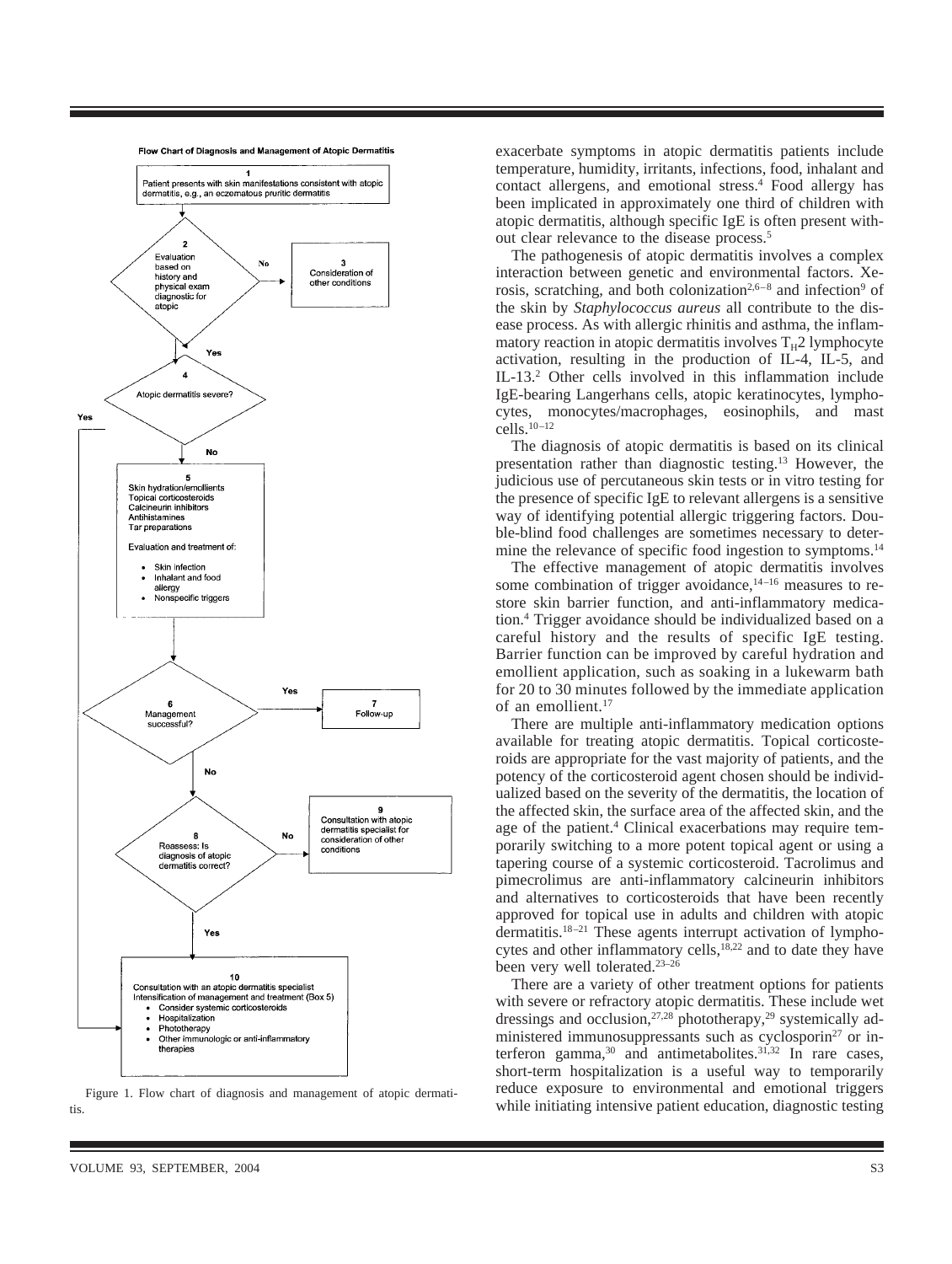

Figure 1. Flow chart of diagnosis and management of atopic dermatitis.

exacerbate symptoms in atopic dermatitis patients include temperature, humidity, irritants, infections, food, inhalant and contact allergens, and emotional stress.4 Food allergy has been implicated in approximately one third of children with atopic dermatitis, although specific IgE is often present without clear relevance to the disease process.5

The pathogenesis of atopic dermatitis involves a complex interaction between genetic and environmental factors. Xerosis, scratching, and both colonization<sup>2,6–8</sup> and infection<sup>9</sup> of the skin by *Staphylococcus aureus* all contribute to the disease process. As with allergic rhinitis and asthma, the inflammatory reaction in atopic dermatitis involves  $T_H2$  lymphocyte activation, resulting in the production of IL-4, IL-5, and IL-13.2 Other cells involved in this inflammation include IgE-bearing Langerhans cells, atopic keratinocytes, lymphocytes, monocytes/macrophages, eosinophils, and mast cells.10–12

The diagnosis of atopic dermatitis is based on its clinical presentation rather than diagnostic testing.13 However, the judicious use of percutaneous skin tests or in vitro testing for the presence of specific IgE to relevant allergens is a sensitive way of identifying potential allergic triggering factors. Double-blind food challenges are sometimes necessary to determine the relevance of specific food ingestion to symptoms.<sup>14</sup>

The effective management of atopic dermatitis involves some combination of trigger avoidance,<sup>14-16</sup> measures to restore skin barrier function, and anti-inflammatory medication.4 Trigger avoidance should be individualized based on a careful history and the results of specific IgE testing. Barrier function can be improved by careful hydration and emollient application, such as soaking in a lukewarm bath for 20 to 30 minutes followed by the immediate application of an emollient.17

There are multiple anti-inflammatory medication options available for treating atopic dermatitis. Topical corticosteroids are appropriate for the vast majority of patients, and the potency of the corticosteroid agent chosen should be individualized based on the severity of the dermatitis, the location of the affected skin, the surface area of the affected skin, and the age of the patient.<sup>4</sup> Clinical exacerbations may require temporarily switching to a more potent topical agent or using a tapering course of a systemic corticosteroid. Tacrolimus and pimecrolimus are anti-inflammatory calcineurin inhibitors and alternatives to corticosteroids that have been recently approved for topical use in adults and children with atopic dermatitis.18–21 These agents interrupt activation of lymphocytes and other inflammatory cells,<sup>18,22</sup> and to date they have been very well tolerated.<sup>23–26</sup>

There are a variety of other treatment options for patients with severe or refractory atopic dermatitis. These include wet dressings and occlusion,  $27,28$  phototherapy,  $29$  systemically administered immunosuppressants such as cyclosporin<sup>27</sup> or interferon gamma,  $30$  and antimetabolites.  $31,32$  In rare cases, short-term hospitalization is a useful way to temporarily reduce exposure to environmental and emotional triggers while initiating intensive patient education, diagnostic testing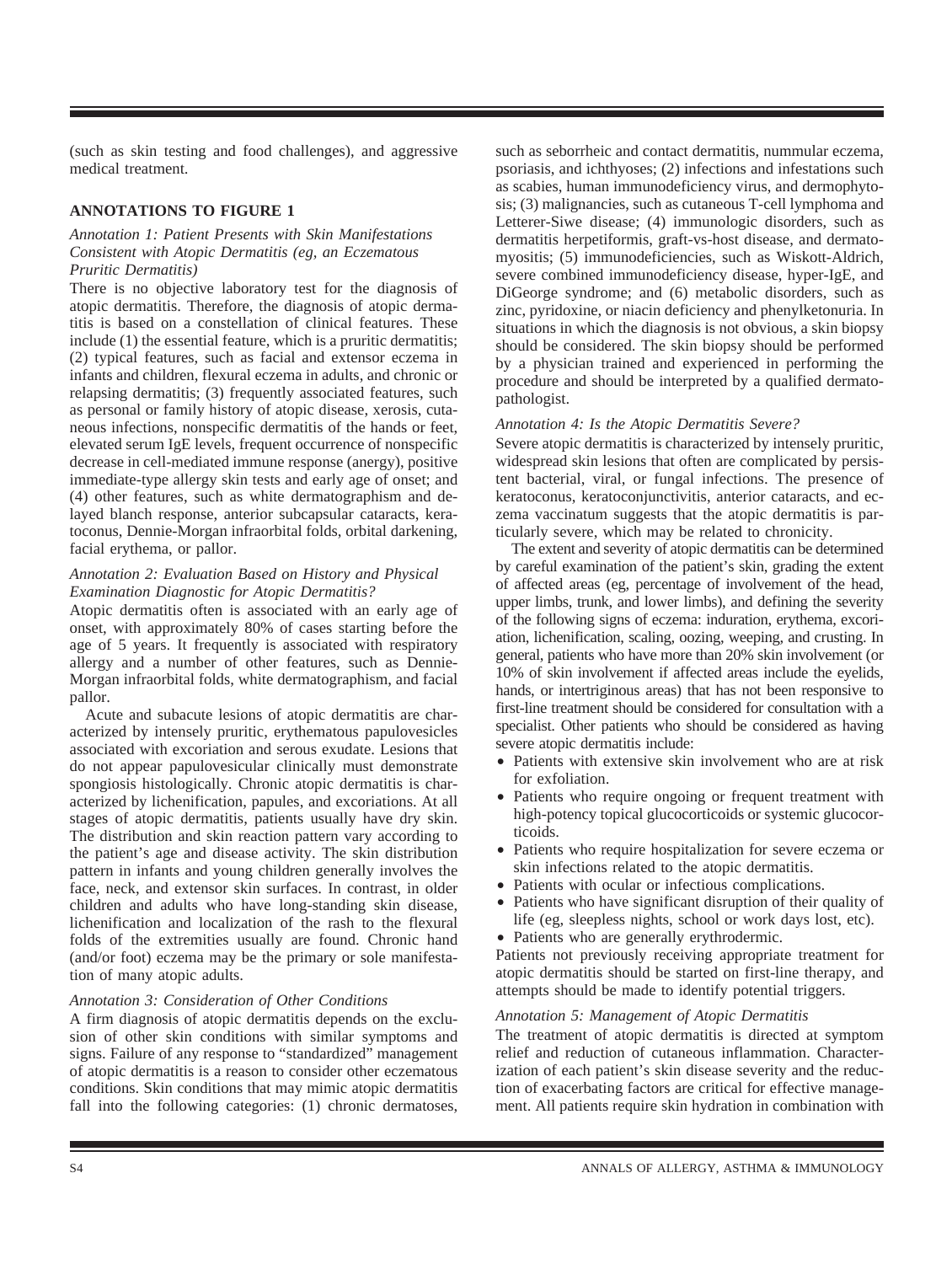(such as skin testing and food challenges), and aggressive medical treatment.

# **ANNOTATIONS TO FIGURE 1**

# *Annotation 1: Patient Presents with Skin Manifestations Consistent with Atopic Dermatitis (eg, an Eczematous Pruritic Dermatitis)*

There is no objective laboratory test for the diagnosis of atopic dermatitis. Therefore, the diagnosis of atopic dermatitis is based on a constellation of clinical features. These include (1) the essential feature, which is a pruritic dermatitis; (2) typical features, such as facial and extensor eczema in infants and children, flexural eczema in adults, and chronic or relapsing dermatitis; (3) frequently associated features, such as personal or family history of atopic disease, xerosis, cutaneous infections, nonspecific dermatitis of the hands or feet, elevated serum IgE levels, frequent occurrence of nonspecific decrease in cell-mediated immune response (anergy), positive immediate-type allergy skin tests and early age of onset; and (4) other features, such as white dermatographism and delayed blanch response, anterior subcapsular cataracts, keratoconus, Dennie-Morgan infraorbital folds, orbital darkening, facial erythema, or pallor.

# *Annotation 2: Evaluation Based on History and Physical Examination Diagnostic for Atopic Dermatitis?*

Atopic dermatitis often is associated with an early age of onset, with approximately 80% of cases starting before the age of 5 years. It frequently is associated with respiratory allergy and a number of other features, such as Dennie-Morgan infraorbital folds, white dermatographism, and facial pallor.

Acute and subacute lesions of atopic dermatitis are characterized by intensely pruritic, erythematous papulovesicles associated with excoriation and serous exudate. Lesions that do not appear papulovesicular clinically must demonstrate spongiosis histologically. Chronic atopic dermatitis is characterized by lichenification, papules, and excoriations. At all stages of atopic dermatitis, patients usually have dry skin. The distribution and skin reaction pattern vary according to the patient's age and disease activity. The skin distribution pattern in infants and young children generally involves the face, neck, and extensor skin surfaces. In contrast, in older children and adults who have long-standing skin disease, lichenification and localization of the rash to the flexural folds of the extremities usually are found. Chronic hand (and/or foot) eczema may be the primary or sole manifestation of many atopic adults.

# *Annotation 3: Consideration of Other Conditions*

A firm diagnosis of atopic dermatitis depends on the exclusion of other skin conditions with similar symptoms and signs. Failure of any response to "standardized" management of atopic dermatitis is a reason to consider other eczematous conditions. Skin conditions that may mimic atopic dermatitis fall into the following categories: (1) chronic dermatoses, such as seborrheic and contact dermatitis, nummular eczema, psoriasis, and ichthyoses; (2) infections and infestations such as scabies, human immunodeficiency virus, and dermophytosis; (3) malignancies, such as cutaneous T-cell lymphoma and Letterer-Siwe disease; (4) immunologic disorders, such as dermatitis herpetiformis, graft-vs-host disease, and dermatomyositis; (5) immunodeficiencies, such as Wiskott-Aldrich, severe combined immunodeficiency disease, hyper-IgE, and DiGeorge syndrome; and (6) metabolic disorders, such as zinc, pyridoxine, or niacin deficiency and phenylketonuria. In situations in which the diagnosis is not obvious, a skin biopsy should be considered. The skin biopsy should be performed by a physician trained and experienced in performing the procedure and should be interpreted by a qualified dermatopathologist.

# *Annotation 4: Is the Atopic Dermatitis Severe?*

Severe atopic dermatitis is characterized by intensely pruritic, widespread skin lesions that often are complicated by persistent bacterial, viral, or fungal infections. The presence of keratoconus, keratoconjunctivitis, anterior cataracts, and eczema vaccinatum suggests that the atopic dermatitis is particularly severe, which may be related to chronicity.

The extent and severity of atopic dermatitis can be determined by careful examination of the patient's skin, grading the extent of affected areas (eg, percentage of involvement of the head, upper limbs, trunk, and lower limbs), and defining the severity of the following signs of eczema: induration, erythema, excoriation, lichenification, scaling, oozing, weeping, and crusting. In general, patients who have more than 20% skin involvement (or 10% of skin involvement if affected areas include the eyelids, hands, or intertriginous areas) that has not been responsive to first-line treatment should be considered for consultation with a specialist. Other patients who should be considered as having severe atopic dermatitis include:

- Patients with extensive skin involvement who are at risk for exfoliation.
- Patients who require ongoing or frequent treatment with high-potency topical glucocorticoids or systemic glucocorticoids.
- Patients who require hospitalization for severe eczema or skin infections related to the atopic dermatitis.
- Patients with ocular or infectious complications.
- Patients who have significant disruption of their quality of life (eg, sleepless nights, school or work days lost, etc).
- Patients who are generally erythrodermic.

Patients not previously receiving appropriate treatment for atopic dermatitis should be started on first-line therapy, and attempts should be made to identify potential triggers.

# *Annotation 5: Management of Atopic Dermatitis*

The treatment of atopic dermatitis is directed at symptom relief and reduction of cutaneous inflammation. Characterization of each patient's skin disease severity and the reduction of exacerbating factors are critical for effective management. All patients require skin hydration in combination with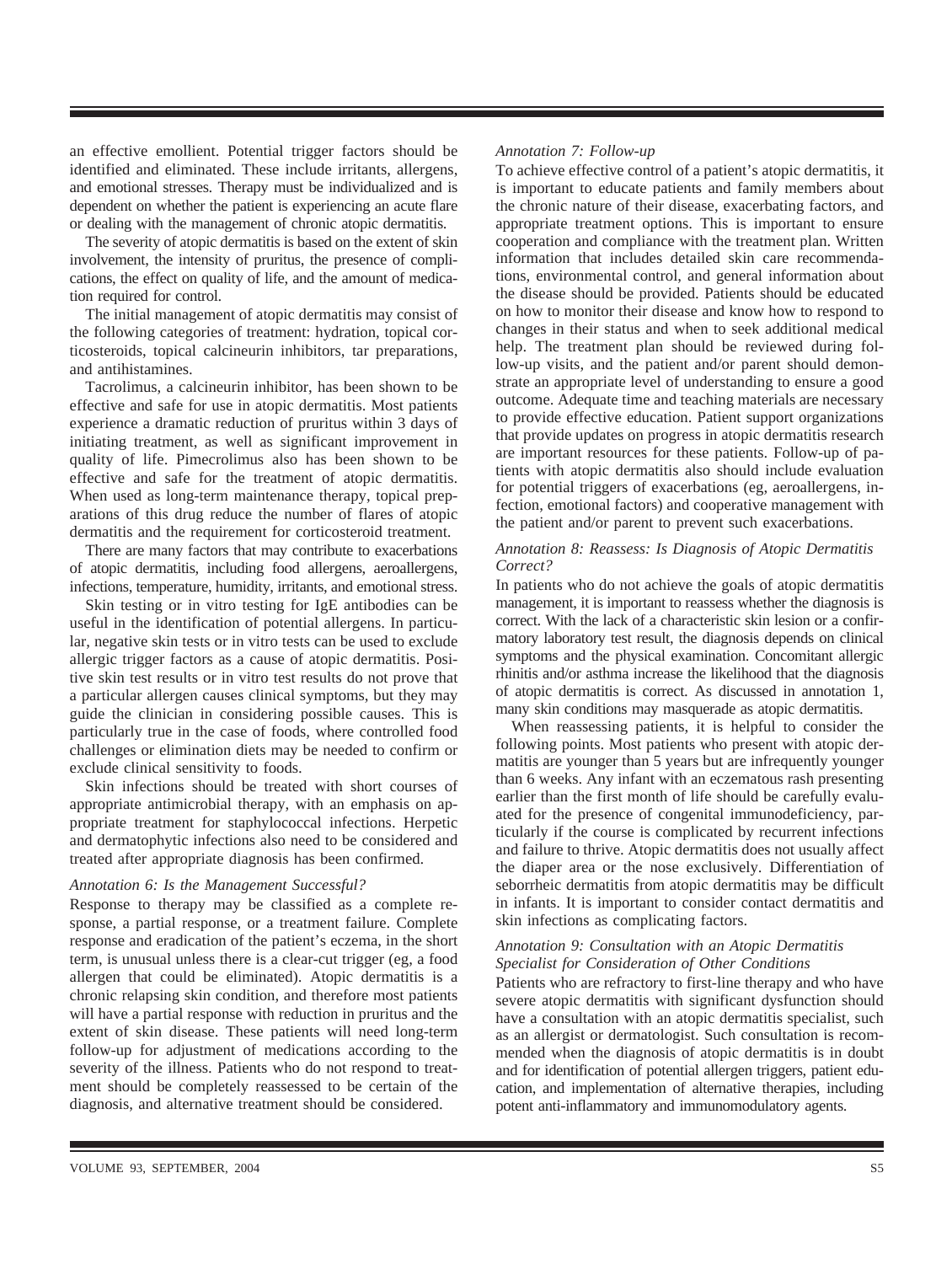an effective emollient. Potential trigger factors should be identified and eliminated. These include irritants, allergens, and emotional stresses. Therapy must be individualized and is dependent on whether the patient is experiencing an acute flare or dealing with the management of chronic atopic dermatitis.

The severity of atopic dermatitis is based on the extent of skin involvement, the intensity of pruritus, the presence of complications, the effect on quality of life, and the amount of medication required for control.

The initial management of atopic dermatitis may consist of the following categories of treatment: hydration, topical corticosteroids, topical calcineurin inhibitors, tar preparations, and antihistamines.

Tacrolimus, a calcineurin inhibitor, has been shown to be effective and safe for use in atopic dermatitis. Most patients experience a dramatic reduction of pruritus within 3 days of initiating treatment, as well as significant improvement in quality of life. Pimecrolimus also has been shown to be effective and safe for the treatment of atopic dermatitis. When used as long-term maintenance therapy, topical preparations of this drug reduce the number of flares of atopic dermatitis and the requirement for corticosteroid treatment.

There are many factors that may contribute to exacerbations of atopic dermatitis, including food allergens, aeroallergens, infections, temperature, humidity, irritants, and emotional stress.

Skin testing or in vitro testing for IgE antibodies can be useful in the identification of potential allergens. In particular, negative skin tests or in vitro tests can be used to exclude allergic trigger factors as a cause of atopic dermatitis. Positive skin test results or in vitro test results do not prove that a particular allergen causes clinical symptoms, but they may guide the clinician in considering possible causes. This is particularly true in the case of foods, where controlled food challenges or elimination diets may be needed to confirm or exclude clinical sensitivity to foods.

Skin infections should be treated with short courses of appropriate antimicrobial therapy, with an emphasis on appropriate treatment for staphylococcal infections. Herpetic and dermatophytic infections also need to be considered and treated after appropriate diagnosis has been confirmed.

# *Annotation 6: Is the Management Successful?*

Response to therapy may be classified as a complete response, a partial response, or a treatment failure. Complete response and eradication of the patient's eczema, in the short term, is unusual unless there is a clear-cut trigger (eg, a food allergen that could be eliminated). Atopic dermatitis is a chronic relapsing skin condition, and therefore most patients will have a partial response with reduction in pruritus and the extent of skin disease. These patients will need long-term follow-up for adjustment of medications according to the severity of the illness. Patients who do not respond to treatment should be completely reassessed to be certain of the diagnosis, and alternative treatment should be considered.

## *Annotation 7: Follow-up*

To achieve effective control of a patient's atopic dermatitis, it is important to educate patients and family members about the chronic nature of their disease, exacerbating factors, and appropriate treatment options. This is important to ensure cooperation and compliance with the treatment plan. Written information that includes detailed skin care recommendations, environmental control, and general information about the disease should be provided. Patients should be educated on how to monitor their disease and know how to respond to changes in their status and when to seek additional medical help. The treatment plan should be reviewed during follow-up visits, and the patient and/or parent should demonstrate an appropriate level of understanding to ensure a good outcome. Adequate time and teaching materials are necessary to provide effective education. Patient support organizations that provide updates on progress in atopic dermatitis research are important resources for these patients. Follow-up of patients with atopic dermatitis also should include evaluation for potential triggers of exacerbations (eg, aeroallergens, infection, emotional factors) and cooperative management with the patient and/or parent to prevent such exacerbations.

# *Annotation 8: Reassess: Is Diagnosis of Atopic Dermatitis Correct?*

In patients who do not achieve the goals of atopic dermatitis management, it is important to reassess whether the diagnosis is correct. With the lack of a characteristic skin lesion or a confirmatory laboratory test result, the diagnosis depends on clinical symptoms and the physical examination. Concomitant allergic rhinitis and/or asthma increase the likelihood that the diagnosis of atopic dermatitis is correct. As discussed in annotation 1, many skin conditions may masquerade as atopic dermatitis.

When reassessing patients, it is helpful to consider the following points. Most patients who present with atopic dermatitis are younger than 5 years but are infrequently younger than 6 weeks. Any infant with an eczematous rash presenting earlier than the first month of life should be carefully evaluated for the presence of congenital immunodeficiency, particularly if the course is complicated by recurrent infections and failure to thrive. Atopic dermatitis does not usually affect the diaper area or the nose exclusively. Differentiation of seborrheic dermatitis from atopic dermatitis may be difficult in infants. It is important to consider contact dermatitis and skin infections as complicating factors.

# *Annotation 9: Consultation with an Atopic Dermatitis Specialist for Consideration of Other Conditions*

Patients who are refractory to first-line therapy and who have severe atopic dermatitis with significant dysfunction should have a consultation with an atopic dermatitis specialist, such as an allergist or dermatologist. Such consultation is recommended when the diagnosis of atopic dermatitis is in doubt and for identification of potential allergen triggers, patient education, and implementation of alternative therapies, including potent anti-inflammatory and immunomodulatory agents.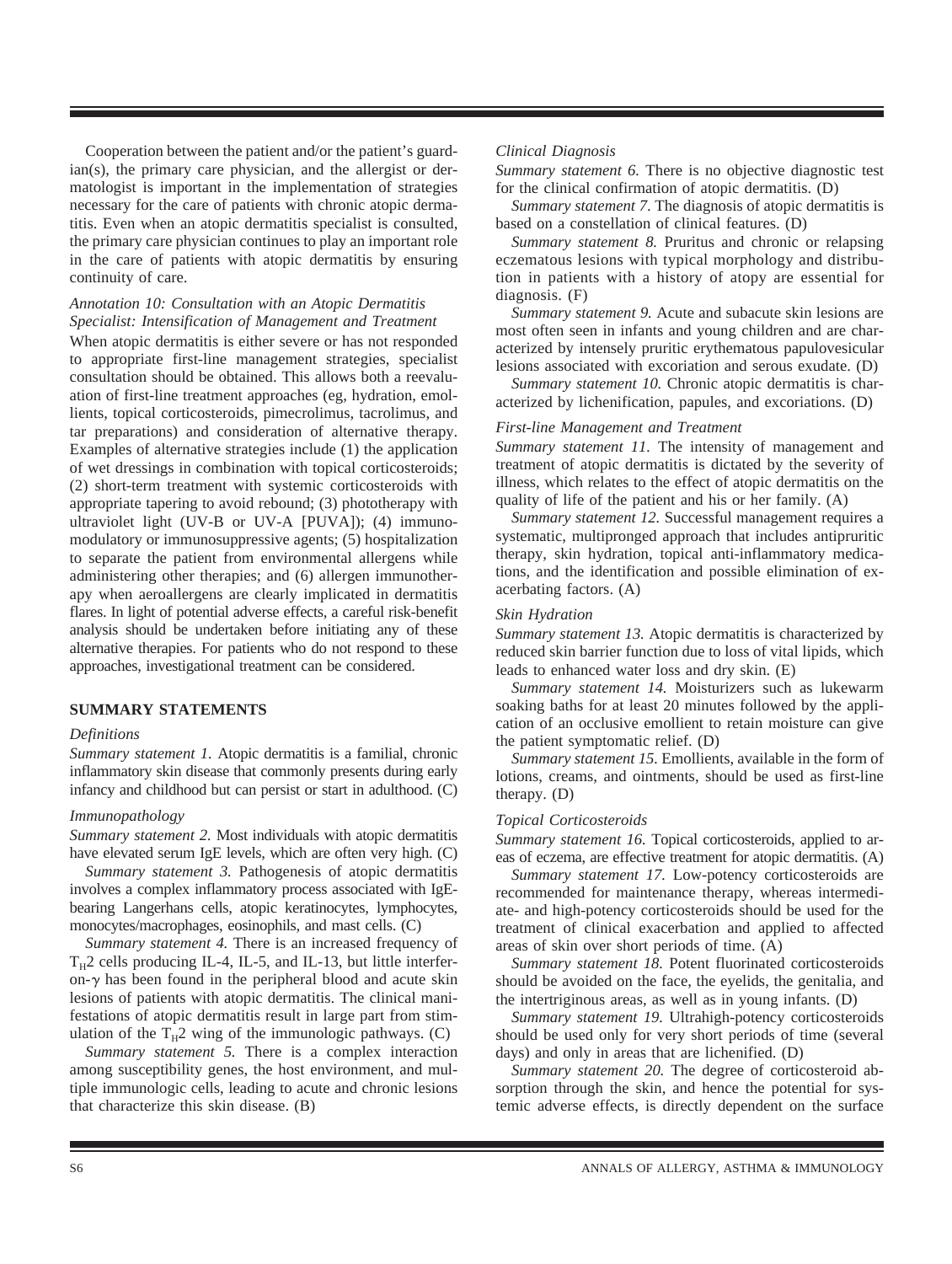Cooperation between the patient and/or the patient's guardian(s), the primary care physician, and the allergist or dermatologist is important in the implementation of strategies necessary for the care of patients with chronic atopic dermatitis. Even when an atopic dermatitis specialist is consulted, the primary care physician continues to play an important role in the care of patients with atopic dermatitis by ensuring continuity of care.

# *Annotation 10: Consultation with an Atopic Dermatitis Specialist: Intensification of Management and Treatment*

When atopic dermatitis is either severe or has not responded to appropriate first-line management strategies, specialist consultation should be obtained. This allows both a reevaluation of first-line treatment approaches (eg, hydration, emollients, topical corticosteroids, pimecrolimus, tacrolimus, and tar preparations) and consideration of alternative therapy. Examples of alternative strategies include (1) the application of wet dressings in combination with topical corticosteroids; (2) short-term treatment with systemic corticosteroids with appropriate tapering to avoid rebound; (3) phototherapy with ultraviolet light (UV-B or UV-A [PUVA]); (4) immunomodulatory or immunosuppressive agents; (5) hospitalization to separate the patient from environmental allergens while administering other therapies; and (6) allergen immunotherapy when aeroallergens are clearly implicated in dermatitis flares. In light of potential adverse effects, a careful risk-benefit analysis should be undertaken before initiating any of these alternative therapies. For patients who do not respond to these approaches, investigational treatment can be considered.

# **SUMMARY STATEMENTS**

# *Definitions*

*Summary statement 1.* Atopic dermatitis is a familial, chronic inflammatory skin disease that commonly presents during early infancy and childhood but can persist or start in adulthood. (C)

#### *Immunopathology*

*Summary statement 2.* Most individuals with atopic dermatitis have elevated serum IgE levels, which are often very high. (C)

*Summary statement 3.* Pathogenesis of atopic dermatitis involves a complex inflammatory process associated with IgEbearing Langerhans cells, atopic keratinocytes, lymphocytes, monocytes/macrophages, eosinophils, and mast cells. (C)

*Summary statement 4.* There is an increased frequency of  $T_H2$  cells producing IL-4, IL-5, and IL-13, but little interferon- $\gamma$  has been found in the peripheral blood and acute skin lesions of patients with atopic dermatitis. The clinical manifestations of atopic dermatitis result in large part from stimulation of the  $T_H2$  wing of the immunologic pathways. (C)

*Summary statement 5.* There is a complex interaction among susceptibility genes, the host environment, and multiple immunologic cells, leading to acute and chronic lesions that characterize this skin disease. (B)

# *Clinical Diagnosis*

*Summary statement 6.* There is no objective diagnostic test for the clinical confirmation of atopic dermatitis. (D)

*Summary statement 7*. The diagnosis of atopic dermatitis is based on a constellation of clinical features. (D)

*Summary statement 8.* Pruritus and chronic or relapsing eczematous lesions with typical morphology and distribution in patients with a history of atopy are essential for diagnosis. (F)

*Summary statement 9.* Acute and subacute skin lesions are most often seen in infants and young children and are characterized by intensely pruritic erythematous papulovesicular lesions associated with excoriation and serous exudate. (D)

*Summary statement 10.* Chronic atopic dermatitis is characterized by lichenification, papules, and excoriations. (D)

#### *First-line Management and Treatment*

*Summary statement 11.* The intensity of management and treatment of atopic dermatitis is dictated by the severity of illness, which relates to the effect of atopic dermatitis on the quality of life of the patient and his or her family. (A)

*Summary statement 12.* Successful management requires a systematic, multipronged approach that includes antipruritic therapy, skin hydration, topical anti-inflammatory medications, and the identification and possible elimination of exacerbating factors. (A)

#### *Skin Hydration*

*Summary statement 13.* Atopic dermatitis is characterized by reduced skin barrier function due to loss of vital lipids, which leads to enhanced water loss and dry skin. (E)

*Summary statement 14.* Moisturizers such as lukewarm soaking baths for at least 20 minutes followed by the application of an occlusive emollient to retain moisture can give the patient symptomatic relief. (D)

*Summary statement 15.* Emollients, available in the form of lotions, creams, and ointments, should be used as first-line therapy. (D)

#### *Topical Corticosteroids*

*Summary statement 16.* Topical corticosteroids, applied to areas of eczema, are effective treatment for atopic dermatitis. (A)

*Summary statement 17.* Low-potency corticosteroids are recommended for maintenance therapy, whereas intermediate- and high-potency corticosteroids should be used for the treatment of clinical exacerbation and applied to affected areas of skin over short periods of time. (A)

*Summary statement 18.* Potent fluorinated corticosteroids should be avoided on the face, the eyelids, the genitalia, and the intertriginous areas, as well as in young infants. (D)

*Summary statement 19.* Ultrahigh-potency corticosteroids should be used only for very short periods of time (several days) and only in areas that are lichenified. (D)

*Summary statement 20.* The degree of corticosteroid absorption through the skin, and hence the potential for systemic adverse effects, is directly dependent on the surface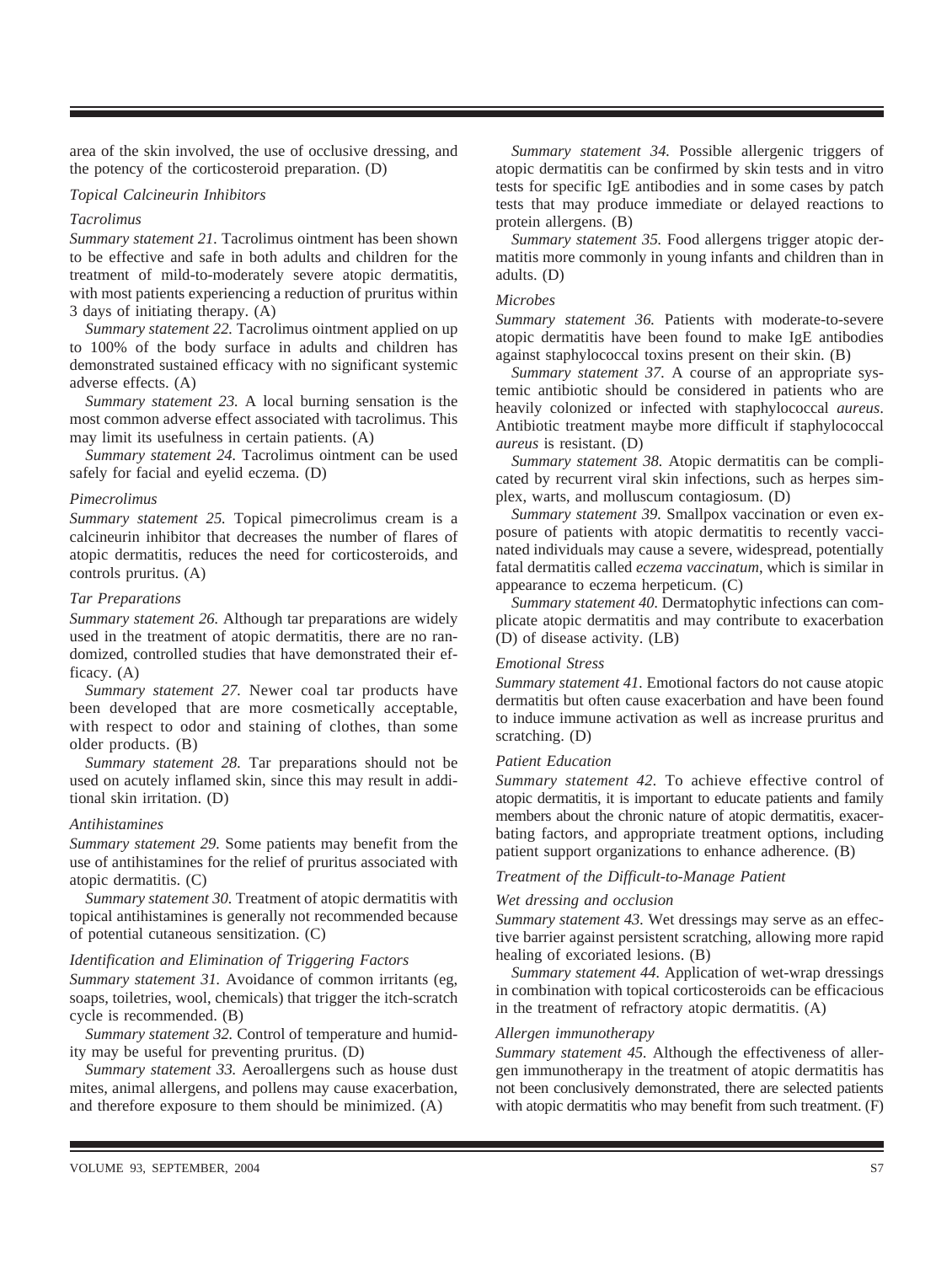area of the skin involved, the use of occlusive dressing, and the potency of the corticosteroid preparation. (D)

# *Topical Calcineurin Inhibitors*

# *Tacrolimus*

*Summary statement 21.* Tacrolimus ointment has been shown to be effective and safe in both adults and children for the treatment of mild-to-moderately severe atopic dermatitis, with most patients experiencing a reduction of pruritus within 3 days of initiating therapy. (A)

*Summary statement 22.* Tacrolimus ointment applied on up to 100% of the body surface in adults and children has demonstrated sustained efficacy with no significant systemic adverse effects. (A)

*Summary statement 23.* A local burning sensation is the most common adverse effect associated with tacrolimus. This may limit its usefulness in certain patients. (A)

*Summary statement 24.* Tacrolimus ointment can be used safely for facial and eyelid eczema. (D)

#### *Pimecrolimus*

*Summary statement 25.* Topical pimecrolimus cream is a calcineurin inhibitor that decreases the number of flares of atopic dermatitis, reduces the need for corticosteroids, and controls pruritus. (A)

#### *Tar Preparations*

*Summary statement 26.* Although tar preparations are widely used in the treatment of atopic dermatitis, there are no randomized, controlled studies that have demonstrated their efficacy. (A)

*Summary statement 27.* Newer coal tar products have been developed that are more cosmetically acceptable, with respect to odor and staining of clothes, than some older products. (B)

*Summary statement 28.* Tar preparations should not be used on acutely inflamed skin, since this may result in additional skin irritation. (D)

#### *Antihistamines*

*Summary statement 29.* Some patients may benefit from the use of antihistamines for the relief of pruritus associated with atopic dermatitis. (C)

*Summary statement 30.* Treatment of atopic dermatitis with topical antihistamines is generally not recommended because of potential cutaneous sensitization. (C)

#### *Identification and Elimination of Triggering Factors*

*Summary statement 31.* Avoidance of common irritants (eg, soaps, toiletries, wool, chemicals) that trigger the itch-scratch cycle is recommended. (B)

*Summary statement 32.* Control of temperature and humidity may be useful for preventing pruritus. (D)

*Summary statement 33.* Aeroallergens such as house dust mites, animal allergens, and pollens may cause exacerbation, and therefore exposure to them should be minimized. (A)

*Summary statement 34.* Possible allergenic triggers of atopic dermatitis can be confirmed by skin tests and in vitro tests for specific IgE antibodies and in some cases by patch tests that may produce immediate or delayed reactions to protein allergens. (B)

*Summary statement 35.* Food allergens trigger atopic dermatitis more commonly in young infants and children than in adults. (D)

# *Microbes*

*Summary statement 36.* Patients with moderate-to-severe atopic dermatitis have been found to make IgE antibodies against staphylococcal toxins present on their skin. (B)

*Summary statement 37.* A course of an appropriate systemic antibiotic should be considered in patients who are heavily colonized or infected with staphylococcal *aureus*. Antibiotic treatment maybe more difficult if staphylococcal *aureus* is resistant. (D)

*Summary statement 38.* Atopic dermatitis can be complicated by recurrent viral skin infections, such as herpes simplex, warts, and molluscum contagiosum. (D)

*Summary statement 39.* Smallpox vaccination or even exposure of patients with atopic dermatitis to recently vaccinated individuals may cause a severe, widespread, potentially fatal dermatitis called *eczema vaccinatum*, which is similar in appearance to eczema herpeticum. (C)

*Summary statement 40.* Dermatophytic infections can complicate atopic dermatitis and may contribute to exacerbation (D) of disease activity. (LB)

#### *Emotional Stress*

*Summary statement 41.* Emotional factors do not cause atopic dermatitis but often cause exacerbation and have been found to induce immune activation as well as increase pruritus and scratching. (D)

# *Patient Education*

*Summary statement 42.* To achieve effective control of atopic dermatitis, it is important to educate patients and family members about the chronic nature of atopic dermatitis, exacerbating factors, and appropriate treatment options, including patient support organizations to enhance adherence. (B)

# *Treatment of the Difficult-to-Manage Patient*

#### *Wet dressing and occlusion*

*Summary statement 43.* Wet dressings may serve as an effective barrier against persistent scratching, allowing more rapid healing of excoriated lesions. (B)

*Summary statement 44.* Application of wet-wrap dressings in combination with topical corticosteroids can be efficacious in the treatment of refractory atopic dermatitis. (A)

#### *Allergen immunotherapy*

*Summary statement 45.* Although the effectiveness of allergen immunotherapy in the treatment of atopic dermatitis has not been conclusively demonstrated, there are selected patients with atopic dermatitis who may benefit from such treatment. (F)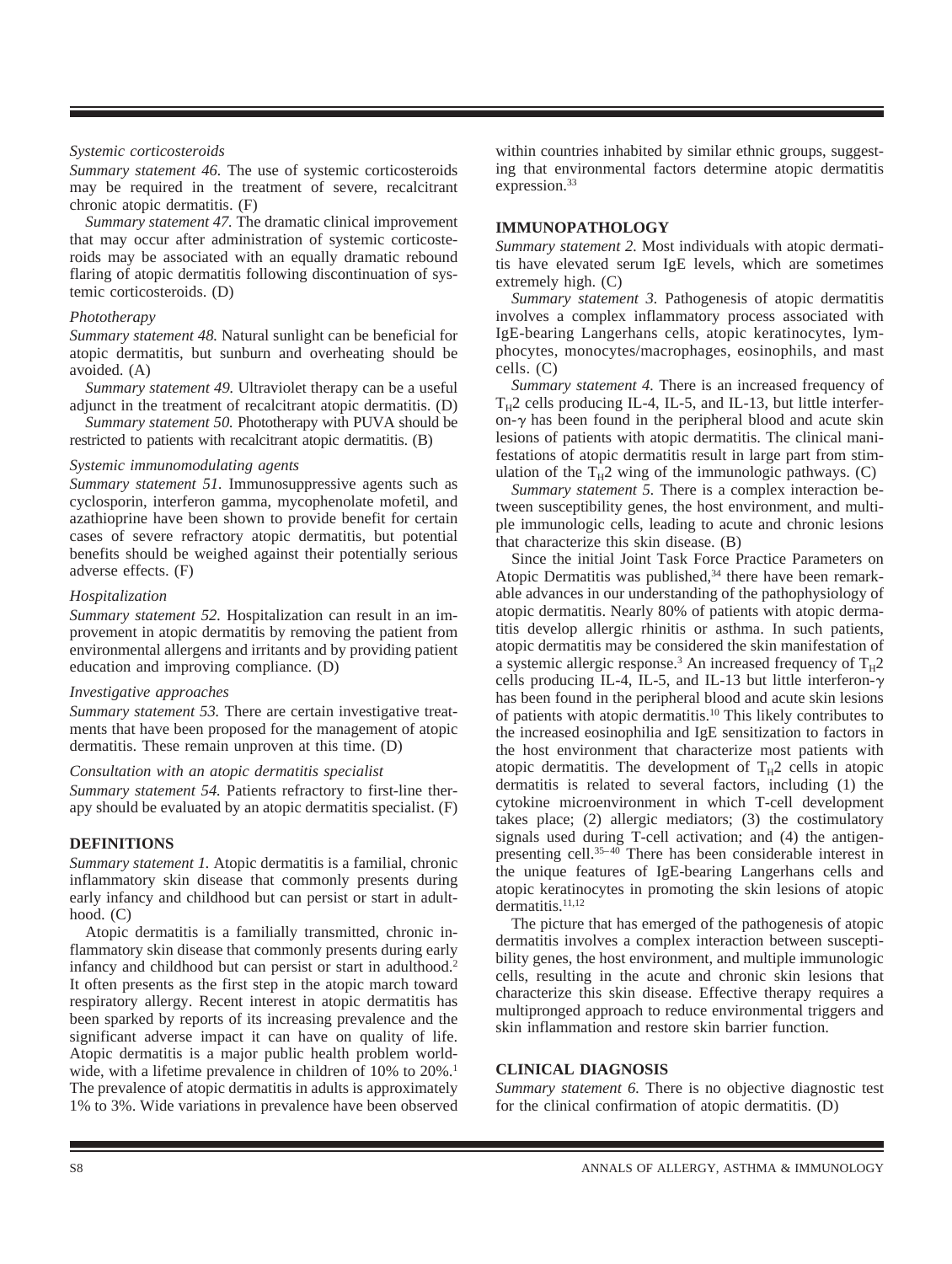# *Systemic corticosteroids*

*Summary statement 46.* The use of systemic corticosteroids may be required in the treatment of severe, recalcitrant chronic atopic dermatitis. (F)

*Summary statement 47.* The dramatic clinical improvement that may occur after administration of systemic corticosteroids may be associated with an equally dramatic rebound flaring of atopic dermatitis following discontinuation of systemic corticosteroids. (D)

# *Phototherapy*

*Summary statement 48.* Natural sunlight can be beneficial for atopic dermatitis, but sunburn and overheating should be avoided. (A)

*Summary statement 49.* Ultraviolet therapy can be a useful adjunct in the treatment of recalcitrant atopic dermatitis. (D)

*Summary statement 50.* Phototherapy with PUVA should be restricted to patients with recalcitrant atopic dermatitis. (B)

# *Systemic immunomodulating agents*

*Summary statement 51.* Immunosuppressive agents such as cyclosporin, interferon gamma, mycophenolate mofetil, and azathioprine have been shown to provide benefit for certain cases of severe refractory atopic dermatitis, but potential benefits should be weighed against their potentially serious adverse effects. (F)

# *Hospitalization*

*Summary statement 52.* Hospitalization can result in an improvement in atopic dermatitis by removing the patient from environmental allergens and irritants and by providing patient education and improving compliance. (D)

# *Investigative approaches*

*Summary statement 53.* There are certain investigative treatments that have been proposed for the management of atopic dermatitis. These remain unproven at this time. (D)

# *Consultation with an atopic dermatitis specialist*

*Summary statement 54.* Patients refractory to first-line therapy should be evaluated by an atopic dermatitis specialist. (F)

# **DEFINITIONS**

*Summary statement 1.* Atopic dermatitis is a familial, chronic inflammatory skin disease that commonly presents during early infancy and childhood but can persist or start in adulthood. (C)

Atopic dermatitis is a familially transmitted, chronic inflammatory skin disease that commonly presents during early infancy and childhood but can persist or start in adulthood.2 It often presents as the first step in the atopic march toward respiratory allergy. Recent interest in atopic dermatitis has been sparked by reports of its increasing prevalence and the significant adverse impact it can have on quality of life. Atopic dermatitis is a major public health problem worldwide, with a lifetime prevalence in children of 10% to 20%.<sup>1</sup> The prevalence of atopic dermatitis in adults is approximately 1% to 3%. Wide variations in prevalence have been observed

within countries inhabited by similar ethnic groups, suggesting that environmental factors determine atopic dermatitis expression.<sup>33</sup>

# **IMMUNOPATHOLOGY**

*Summary statement 2.* Most individuals with atopic dermatitis have elevated serum IgE levels, which are sometimes extremely high. (C)

*Summary statement 3.* Pathogenesis of atopic dermatitis involves a complex inflammatory process associated with IgE-bearing Langerhans cells, atopic keratinocytes, lymphocytes, monocytes/macrophages, eosinophils, and mast cells. (C)

*Summary statement 4.* There is an increased frequency of  $T_H$ 2 cells producing IL-4, IL-5, and IL-13, but little interferon- $\gamma$  has been found in the peripheral blood and acute skin lesions of patients with atopic dermatitis. The clinical manifestations of atopic dermatitis result in large part from stimulation of the  $T_H2$  wing of the immunologic pathways. (C)

*Summary statement 5.* There is a complex interaction between susceptibility genes, the host environment, and multiple immunologic cells, leading to acute and chronic lesions that characterize this skin disease. (B)

Since the initial Joint Task Force Practice Parameters on Atopic Dermatitis was published,<sup>34</sup> there have been remarkable advances in our understanding of the pathophysiology of atopic dermatitis. Nearly 80% of patients with atopic dermatitis develop allergic rhinitis or asthma. In such patients, atopic dermatitis may be considered the skin manifestation of a systemic allergic response.<sup>3</sup> An increased frequency of  $T_H2$ cells producing IL-4, IL-5, and IL-13 but little interferon- $\gamma$ has been found in the peripheral blood and acute skin lesions of patients with atopic dermatitis.10 This likely contributes to the increased eosinophilia and IgE sensitization to factors in the host environment that characterize most patients with atopic dermatitis. The development of  $T_H2$  cells in atopic dermatitis is related to several factors, including (1) the cytokine microenvironment in which T-cell development takes place; (2) allergic mediators; (3) the costimulatory signals used during T-cell activation; and (4) the antigenpresenting cell.35–40 There has been considerable interest in the unique features of IgE-bearing Langerhans cells and atopic keratinocytes in promoting the skin lesions of atopic dermatitis.<sup>11,12</sup>

The picture that has emerged of the pathogenesis of atopic dermatitis involves a complex interaction between susceptibility genes, the host environment, and multiple immunologic cells, resulting in the acute and chronic skin lesions that characterize this skin disease. Effective therapy requires a multipronged approach to reduce environmental triggers and skin inflammation and restore skin barrier function.

# **CLINICAL DIAGNOSIS**

*Summary statement 6.* There is no objective diagnostic test for the clinical confirmation of atopic dermatitis. (D)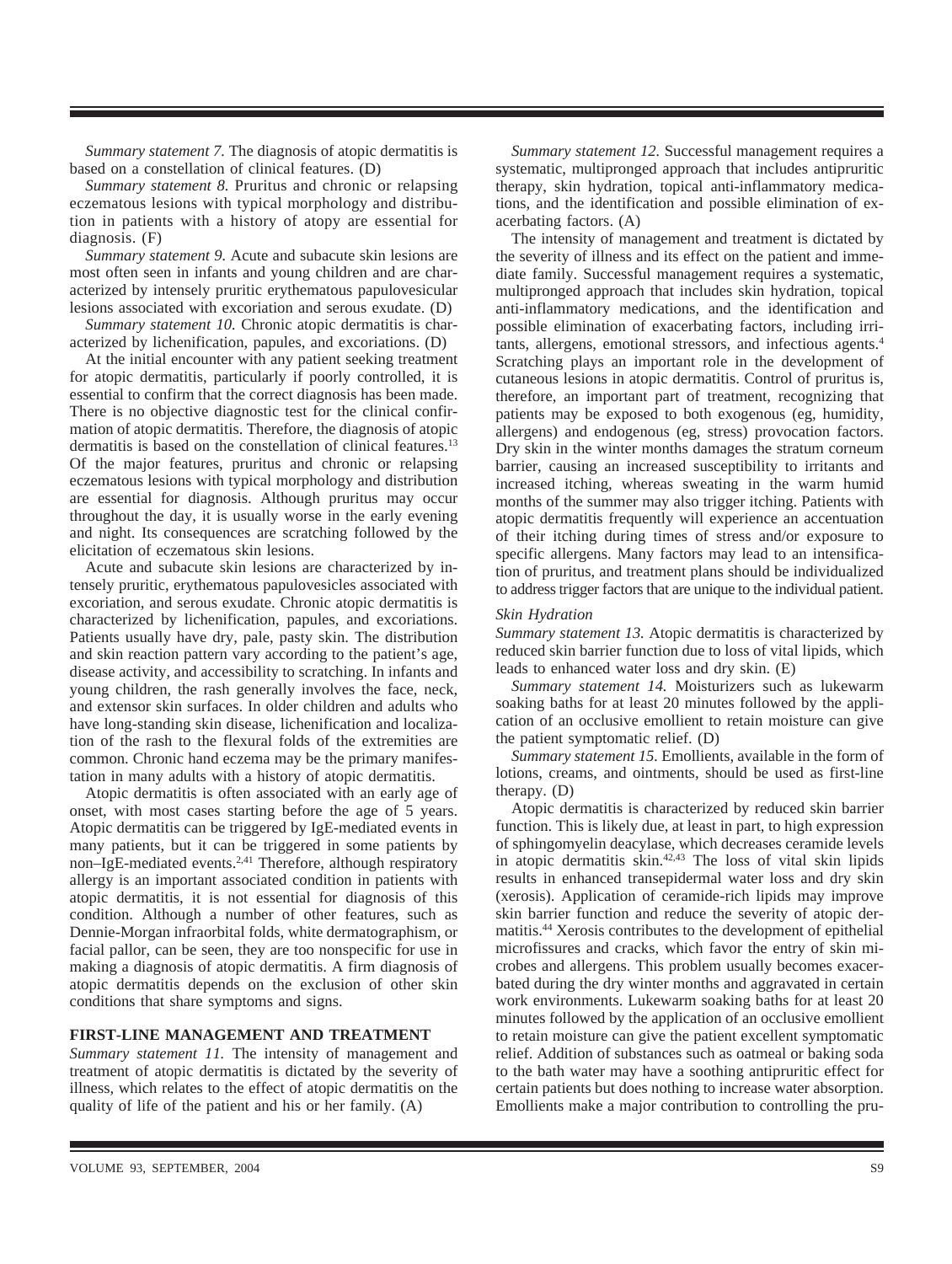*Summary statement 7.* The diagnosis of atopic dermatitis is based on a constellation of clinical features. (D)

*Summary statement 8.* Pruritus and chronic or relapsing eczematous lesions with typical morphology and distribution in patients with a history of atopy are essential for diagnosis. (F)

*Summary statement 9.* Acute and subacute skin lesions are most often seen in infants and young children and are characterized by intensely pruritic erythematous papulovesicular lesions associated with excoriation and serous exudate. (D)

*Summary statement 10.* Chronic atopic dermatitis is characterized by lichenification, papules, and excoriations. (D)

At the initial encounter with any patient seeking treatment for atopic dermatitis, particularly if poorly controlled, it is essential to confirm that the correct diagnosis has been made. There is no objective diagnostic test for the clinical confirmation of atopic dermatitis. Therefore, the diagnosis of atopic dermatitis is based on the constellation of clinical features.<sup>13</sup> Of the major features, pruritus and chronic or relapsing eczematous lesions with typical morphology and distribution are essential for diagnosis. Although pruritus may occur throughout the day, it is usually worse in the early evening and night. Its consequences are scratching followed by the elicitation of eczematous skin lesions.

Acute and subacute skin lesions are characterized by intensely pruritic, erythematous papulovesicles associated with excoriation, and serous exudate. Chronic atopic dermatitis is characterized by lichenification, papules, and excoriations. Patients usually have dry, pale, pasty skin. The distribution and skin reaction pattern vary according to the patient's age, disease activity, and accessibility to scratching. In infants and young children, the rash generally involves the face, neck, and extensor skin surfaces. In older children and adults who have long-standing skin disease, lichenification and localization of the rash to the flexural folds of the extremities are common. Chronic hand eczema may be the primary manifestation in many adults with a history of atopic dermatitis.

Atopic dermatitis is often associated with an early age of onset, with most cases starting before the age of 5 years. Atopic dermatitis can be triggered by IgE-mediated events in many patients, but it can be triggered in some patients by non–IgE-mediated events.2,41 Therefore, although respiratory allergy is an important associated condition in patients with atopic dermatitis, it is not essential for diagnosis of this condition. Although a number of other features, such as Dennie-Morgan infraorbital folds, white dermatographism, or facial pallor, can be seen, they are too nonspecific for use in making a diagnosis of atopic dermatitis. A firm diagnosis of atopic dermatitis depends on the exclusion of other skin conditions that share symptoms and signs.

# **FIRST-LINE MANAGEMENT AND TREATMENT**

*Summary statement 11.* The intensity of management and treatment of atopic dermatitis is dictated by the severity of illness, which relates to the effect of atopic dermatitis on the quality of life of the patient and his or her family. (A)

*Summary statement 12.* Successful management requires a systematic, multipronged approach that includes antipruritic therapy, skin hydration, topical anti-inflammatory medications, and the identification and possible elimination of exacerbating factors. (A)

The intensity of management and treatment is dictated by the severity of illness and its effect on the patient and immediate family. Successful management requires a systematic, multipronged approach that includes skin hydration, topical anti-inflammatory medications, and the identification and possible elimination of exacerbating factors, including irritants, allergens, emotional stressors, and infectious agents.4 Scratching plays an important role in the development of cutaneous lesions in atopic dermatitis. Control of pruritus is, therefore, an important part of treatment, recognizing that patients may be exposed to both exogenous (eg, humidity, allergens) and endogenous (eg, stress) provocation factors. Dry skin in the winter months damages the stratum corneum barrier, causing an increased susceptibility to irritants and increased itching, whereas sweating in the warm humid months of the summer may also trigger itching. Patients with atopic dermatitis frequently will experience an accentuation of their itching during times of stress and/or exposure to specific allergens. Many factors may lead to an intensification of pruritus, and treatment plans should be individualized to address trigger factors that are unique to the individual patient.

# *Skin Hydration*

*Summary statement 13.* Atopic dermatitis is characterized by reduced skin barrier function due to loss of vital lipids, which leads to enhanced water loss and dry skin. (E)

*Summary statement 14.* Moisturizers such as lukewarm soaking baths for at least 20 minutes followed by the application of an occlusive emollient to retain moisture can give the patient symptomatic relief. (D)

*Summary statement 15.* Emollients, available in the form of lotions, creams, and ointments, should be used as first-line therapy. (D)

Atopic dermatitis is characterized by reduced skin barrier function. This is likely due, at least in part, to high expression of sphingomyelin deacylase, which decreases ceramide levels in atopic dermatitis skin.42,43 The loss of vital skin lipids results in enhanced transepidermal water loss and dry skin (xerosis). Application of ceramide-rich lipids may improve skin barrier function and reduce the severity of atopic dermatitis.44 Xerosis contributes to the development of epithelial microfissures and cracks, which favor the entry of skin microbes and allergens. This problem usually becomes exacerbated during the dry winter months and aggravated in certain work environments. Lukewarm soaking baths for at least 20 minutes followed by the application of an occlusive emollient to retain moisture can give the patient excellent symptomatic relief. Addition of substances such as oatmeal or baking soda to the bath water may have a soothing antipruritic effect for certain patients but does nothing to increase water absorption. Emollients make a major contribution to controlling the pru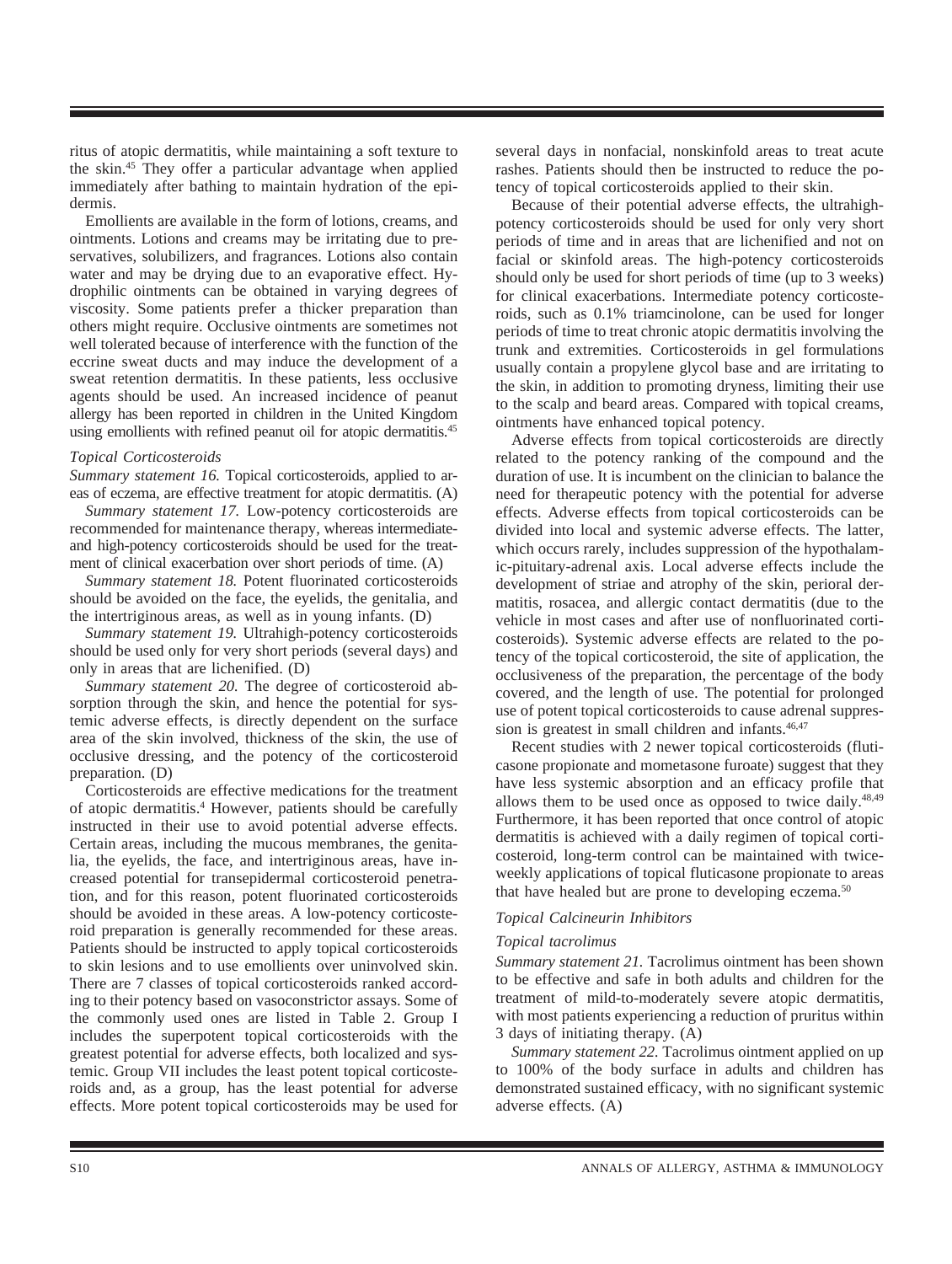ritus of atopic dermatitis, while maintaining a soft texture to the skin.45 They offer a particular advantage when applied immediately after bathing to maintain hydration of the epidermis.

Emollients are available in the form of lotions, creams, and ointments. Lotions and creams may be irritating due to preservatives, solubilizers, and fragrances. Lotions also contain water and may be drying due to an evaporative effect. Hydrophilic ointments can be obtained in varying degrees of viscosity. Some patients prefer a thicker preparation than others might require. Occlusive ointments are sometimes not well tolerated because of interference with the function of the eccrine sweat ducts and may induce the development of a sweat retention dermatitis. In these patients, less occlusive agents should be used. An increased incidence of peanut allergy has been reported in children in the United Kingdom using emollients with refined peanut oil for atopic dermatitis.<sup>45</sup>

# *Topical Corticosteroids*

*Summary statement 16.* Topical corticosteroids, applied to areas of eczema, are effective treatment for atopic dermatitis. (A)

*Summary statement 17.* Low-potency corticosteroids are recommended for maintenance therapy, whereas intermediateand high-potency corticosteroids should be used for the treatment of clinical exacerbation over short periods of time. (A)

*Summary statement 18.* Potent fluorinated corticosteroids should be avoided on the face, the eyelids, the genitalia, and the intertriginous areas, as well as in young infants. (D)

*Summary statement 19.* Ultrahigh-potency corticosteroids should be used only for very short periods (several days) and only in areas that are lichenified. (D)

*Summary statement 20.* The degree of corticosteroid absorption through the skin, and hence the potential for systemic adverse effects, is directly dependent on the surface area of the skin involved, thickness of the skin, the use of occlusive dressing, and the potency of the corticosteroid preparation. (D)

Corticosteroids are effective medications for the treatment of atopic dermatitis.4 However, patients should be carefully instructed in their use to avoid potential adverse effects. Certain areas, including the mucous membranes, the genitalia, the eyelids, the face, and intertriginous areas, have increased potential for transepidermal corticosteroid penetration, and for this reason, potent fluorinated corticosteroids should be avoided in these areas. A low-potency corticosteroid preparation is generally recommended for these areas. Patients should be instructed to apply topical corticosteroids to skin lesions and to use emollients over uninvolved skin. There are 7 classes of topical corticosteroids ranked according to their potency based on vasoconstrictor assays. Some of the commonly used ones are listed in Table 2. Group I includes the superpotent topical corticosteroids with the greatest potential for adverse effects, both localized and systemic. Group VII includes the least potent topical corticosteroids and, as a group, has the least potential for adverse effects. More potent topical corticosteroids may be used for

several days in nonfacial, nonskinfold areas to treat acute rashes. Patients should then be instructed to reduce the potency of topical corticosteroids applied to their skin.

Because of their potential adverse effects, the ultrahighpotency corticosteroids should be used for only very short periods of time and in areas that are lichenified and not on facial or skinfold areas. The high-potency corticosteroids should only be used for short periods of time (up to 3 weeks) for clinical exacerbations. Intermediate potency corticosteroids, such as 0.1% triamcinolone, can be used for longer periods of time to treat chronic atopic dermatitis involving the trunk and extremities. Corticosteroids in gel formulations usually contain a propylene glycol base and are irritating to the skin, in addition to promoting dryness, limiting their use to the scalp and beard areas. Compared with topical creams, ointments have enhanced topical potency.

Adverse effects from topical corticosteroids are directly related to the potency ranking of the compound and the duration of use. It is incumbent on the clinician to balance the need for therapeutic potency with the potential for adverse effects. Adverse effects from topical corticosteroids can be divided into local and systemic adverse effects. The latter, which occurs rarely, includes suppression of the hypothalamic-pituitary-adrenal axis. Local adverse effects include the development of striae and atrophy of the skin, perioral dermatitis, rosacea, and allergic contact dermatitis (due to the vehicle in most cases and after use of nonfluorinated corticosteroids). Systemic adverse effects are related to the potency of the topical corticosteroid, the site of application, the occlusiveness of the preparation, the percentage of the body covered, and the length of use. The potential for prolonged use of potent topical corticosteroids to cause adrenal suppression is greatest in small children and infants. $46,47$ 

Recent studies with 2 newer topical corticosteroids (fluticasone propionate and mometasone furoate) suggest that they have less systemic absorption and an efficacy profile that allows them to be used once as opposed to twice daily. $48,49$ Furthermore, it has been reported that once control of atopic dermatitis is achieved with a daily regimen of topical corticosteroid, long-term control can be maintained with twiceweekly applications of topical fluticasone propionate to areas that have healed but are prone to developing eczema.50

# *Topical Calcineurin Inhibitors*

# *Topical tacrolimus*

*Summary statement 21.* Tacrolimus ointment has been shown to be effective and safe in both adults and children for the treatment of mild-to-moderately severe atopic dermatitis, with most patients experiencing a reduction of pruritus within 3 days of initiating therapy. (A)

*Summary statement 22.* Tacrolimus ointment applied on up to 100% of the body surface in adults and children has demonstrated sustained efficacy, with no significant systemic adverse effects. (A)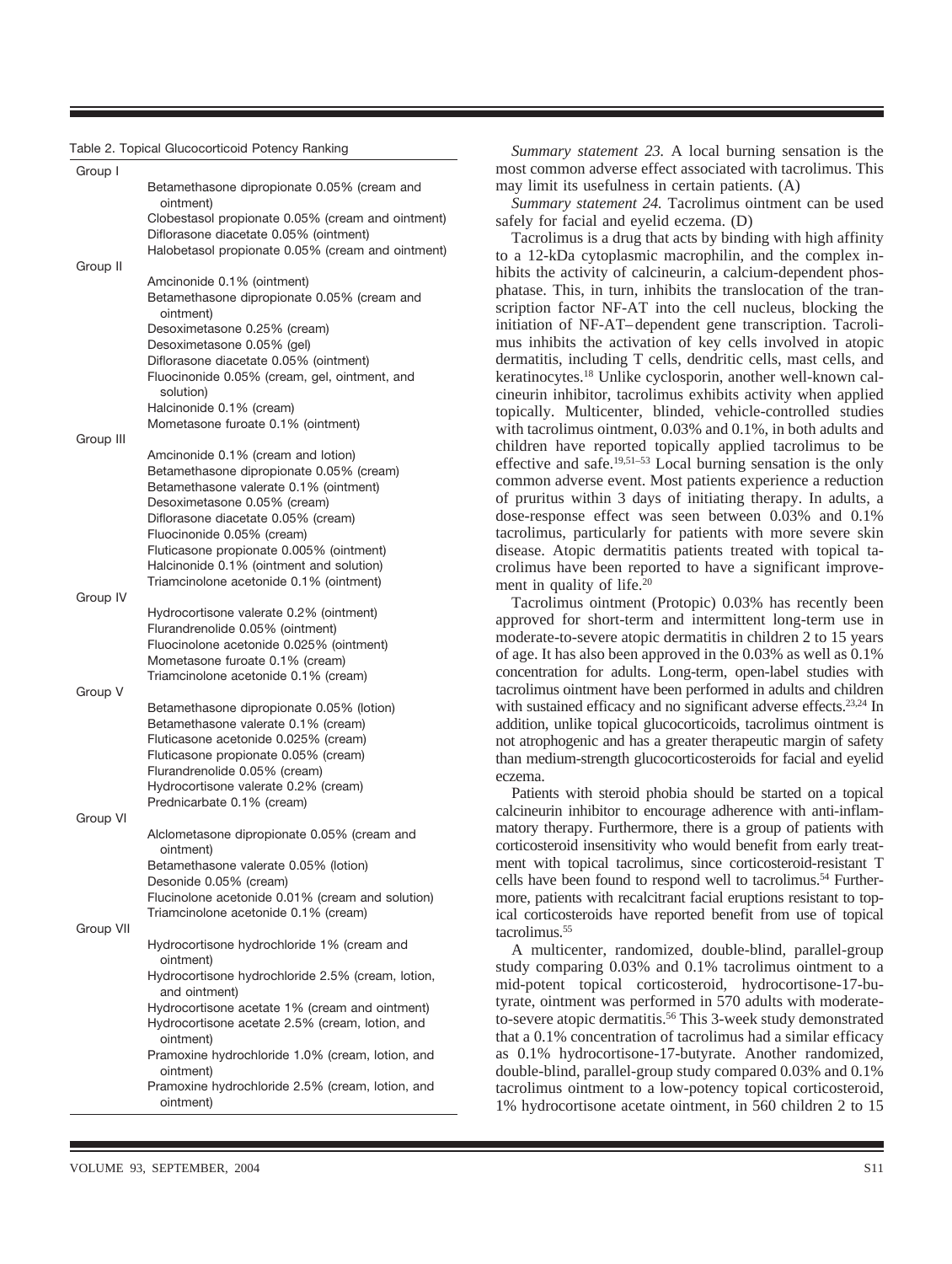#### Table 2. Topical Glucocorticoid Potency Ranking

| Group I   |                                                                                                   |
|-----------|---------------------------------------------------------------------------------------------------|
|           | Betamethasone dipropionate 0.05% (cream and                                                       |
|           | ointment)                                                                                         |
|           | Clobestasol propionate 0.05% (cream and ointment)                                                 |
|           | Diflorasone diacetate 0.05% (ointment)                                                            |
|           | Halobetasol propionate 0.05% (cream and ointment)                                                 |
| Group II  |                                                                                                   |
|           | Amcinonide 0.1% (ointment)<br>Betamethasone dipropionate 0.05% (cream and                         |
|           | ointment)                                                                                         |
|           | Desoximetasone 0.25% (cream)                                                                      |
|           | Desoximetasone 0.05% (gel)                                                                        |
|           | Diflorasone diacetate 0.05% (ointment)                                                            |
|           | Fluocinonide 0.05% (cream, gel, ointment, and                                                     |
|           | solution)                                                                                         |
|           | Halcinonide 0.1% (cream)                                                                          |
|           | Mometasone furoate 0.1% (ointment)                                                                |
| Group III |                                                                                                   |
|           | Amcinonide 0.1% (cream and lotion)<br>Betamethasone dipropionate 0.05% (cream)                    |
|           | Betamethasone valerate 0.1% (ointment)                                                            |
|           | Desoximetasone 0.05% (cream)                                                                      |
|           | Diflorasone diacetate 0.05% (cream)                                                               |
|           | Fluocinonide 0.05% (cream)                                                                        |
|           | Fluticasone propionate 0.005% (ointment)                                                          |
|           | Halcinonide 0.1% (ointment and solution)                                                          |
|           | Triamcinolone acetonide 0.1% (ointment)                                                           |
| Group IV  |                                                                                                   |
|           | Hydrocortisone valerate 0.2% (ointment)<br>Flurandrenolide 0.05% (ointment)                       |
|           | Fluocinolone acetonide 0.025% (ointment)                                                          |
|           | Mometasone furoate 0.1% (cream)                                                                   |
|           | Triamcinolone acetonide 0.1% (cream)                                                              |
| Group V   |                                                                                                   |
|           | Betamethasone dipropionate 0.05% (lotion)                                                         |
|           | Betamethasone valerate 0.1% (cream)                                                               |
|           | Fluticasone acetonide 0.025% (cream)                                                              |
|           | Fluticasone propionate 0.05% (cream)<br>Flurandrenolide 0.05% (cream)                             |
|           | Hydrocortisone valerate 0.2% (cream)                                                              |
|           | Prednicarbate 0.1% (cream)                                                                        |
| Group VI  |                                                                                                   |
|           | Alclometasone dipropionate 0.05% (cream and                                                       |
|           | ointment)                                                                                         |
|           | Betamethasone valerate 0.05% (lotion)                                                             |
|           | Desonide 0.05% (cream)                                                                            |
|           | Flucinolone acetonide 0.01% (cream and solution)                                                  |
| Group VII | Triamcinolone acetonide 0.1% (cream)                                                              |
|           | Hydrocortisone hydrochloride 1% (cream and                                                        |
|           | ointment)                                                                                         |
|           | Hydrocortisone hydrochloride 2.5% (cream, lotion,                                                 |
|           | and ointment)                                                                                     |
|           | Hydrocortisone acetate 1% (cream and ointment)<br>Hydrocortisone acetate 2.5% (cream, lotion, and |
|           | ointment)                                                                                         |
|           | Pramoxine hydrochloride 1.0% (cream, lotion, and                                                  |
|           | ointment)                                                                                         |
|           | Pramoxine hydrochloride 2.5% (cream, lotion, and                                                  |
|           | ointment)                                                                                         |

*Summary statement 23.* A local burning sensation is the most common adverse effect associated with tacrolimus. This may limit its usefulness in certain patients. (A)

*Summary statement 24.* Tacrolimus ointment can be used safely for facial and eyelid eczema. (D)

Tacrolimus is a drug that acts by binding with high affinity to a 12-kDa cytoplasmic macrophilin, and the complex inhibits the activity of calcineurin, a calcium-dependent phosphatase. This, in turn, inhibits the translocation of the transcription factor NF-AT into the cell nucleus, blocking the initiation of NF-AT–dependent gene transcription. Tacrolimus inhibits the activation of key cells involved in atopic dermatitis, including T cells, dendritic cells, mast cells, and keratinocytes.18 Unlike cyclosporin, another well-known calcineurin inhibitor, tacrolimus exhibits activity when applied topically. Multicenter, blinded, vehicle-controlled studies with tacrolimus ointment, 0.03% and 0.1%, in both adults and children have reported topically applied tacrolimus to be effective and safe.19,51–53 Local burning sensation is the only common adverse event. Most patients experience a reduction of pruritus within 3 days of initiating therapy. In adults, a dose-response effect was seen between 0.03% and 0.1% tacrolimus, particularly for patients with more severe skin disease. Atopic dermatitis patients treated with topical tacrolimus have been reported to have a significant improvement in quality of life.<sup>20</sup>

Tacrolimus ointment (Protopic) 0.03% has recently been approved for short-term and intermittent long-term use in moderate-to-severe atopic dermatitis in children 2 to 15 years of age. It has also been approved in the 0.03% as well as 0.1% concentration for adults. Long-term, open-label studies with tacrolimus ointment have been performed in adults and children with sustained efficacy and no significant adverse effects.<sup>23,24</sup> In addition, unlike topical glucocorticoids, tacrolimus ointment is not atrophogenic and has a greater therapeutic margin of safety than medium-strength glucocorticosteroids for facial and eyelid eczema.

Patients with steroid phobia should be started on a topical calcineurin inhibitor to encourage adherence with anti-inflammatory therapy. Furthermore, there is a group of patients with corticosteroid insensitivity who would benefit from early treatment with topical tacrolimus, since corticosteroid-resistant T cells have been found to respond well to tacrolimus.<sup>54</sup> Furthermore, patients with recalcitrant facial eruptions resistant to topical corticosteroids have reported benefit from use of topical tacrolimus.<sup>55</sup>

A multicenter, randomized, double-blind, parallel-group study comparing 0.03% and 0.1% tacrolimus ointment to a mid-potent topical corticosteroid, hydrocortisone-17-butyrate, ointment was performed in 570 adults with moderateto-severe atopic dermatitis.<sup>56</sup> This 3-week study demonstrated that a 0.1% concentration of tacrolimus had a similar efficacy as 0.1% hydrocortisone-17-butyrate. Another randomized, double-blind, parallel-group study compared 0.03% and 0.1% tacrolimus ointment to a low-potency topical corticosteroid, 1% hydrocortisone acetate ointment, in 560 children 2 to 15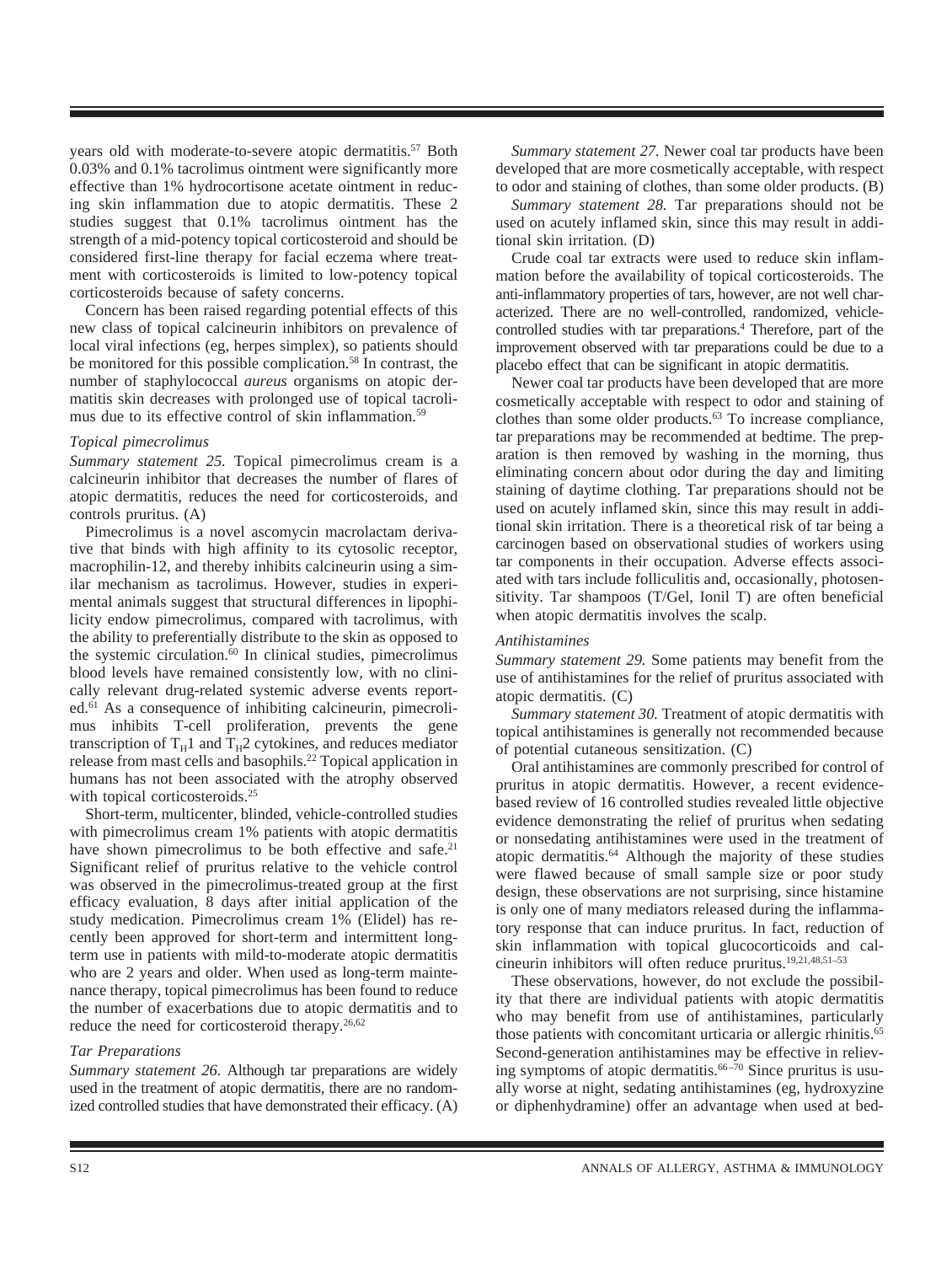years old with moderate-to-severe atopic dermatitis.<sup>57</sup> Both 0.03% and 0.1% tacrolimus ointment were significantly more effective than 1% hydrocortisone acetate ointment in reducing skin inflammation due to atopic dermatitis. These 2 studies suggest that 0.1% tacrolimus ointment has the strength of a mid-potency topical corticosteroid and should be considered first-line therapy for facial eczema where treatment with corticosteroids is limited to low-potency topical corticosteroids because of safety concerns.

Concern has been raised regarding potential effects of this new class of topical calcineurin inhibitors on prevalence of local viral infections (eg, herpes simplex), so patients should be monitored for this possible complication.<sup>58</sup> In contrast, the number of staphylococcal *aureus* organisms on atopic dermatitis skin decreases with prolonged use of topical tacrolimus due to its effective control of skin inflammation.<sup>59</sup>

# *Topical pimecrolimus*

*Summary statement 25.* Topical pimecrolimus cream is a calcineurin inhibitor that decreases the number of flares of atopic dermatitis, reduces the need for corticosteroids, and controls pruritus. (A)

Pimecrolimus is a novel ascomycin macrolactam derivative that binds with high affinity to its cytosolic receptor, macrophilin-12, and thereby inhibits calcineurin using a similar mechanism as tacrolimus. However, studies in experimental animals suggest that structural differences in lipophilicity endow pimecrolimus, compared with tacrolimus, with the ability to preferentially distribute to the skin as opposed to the systemic circulation.<sup>60</sup> In clinical studies, pimecrolimus blood levels have remained consistently low, with no clinically relevant drug-related systemic adverse events reported.<sup>61</sup> As a consequence of inhibiting calcineurin, pimecrolimus inhibits T-cell proliferation, prevents the gene transcription of  $T_H1$  and  $T_H2$  cytokines, and reduces mediator release from mast cells and basophils.<sup>22</sup> Topical application in humans has not been associated with the atrophy observed with topical corticosteroids.<sup>25</sup>

Short-term, multicenter, blinded, vehicle-controlled studies with pimecrolimus cream 1% patients with atopic dermatitis have shown pimecrolimus to be both effective and safe.<sup>21</sup> Significant relief of pruritus relative to the vehicle control was observed in the pimecrolimus-treated group at the first efficacy evaluation, 8 days after initial application of the study medication. Pimecrolimus cream 1% (Elidel) has recently been approved for short-term and intermittent longterm use in patients with mild-to-moderate atopic dermatitis who are 2 years and older. When used as long-term maintenance therapy, topical pimecrolimus has been found to reduce the number of exacerbations due to atopic dermatitis and to reduce the need for corticosteroid therapy.26,62

# *Tar Preparations*

*Summary statement 26.* Although tar preparations are widely used in the treatment of atopic dermatitis, there are no randomized controlled studies that have demonstrated their efficacy. (A)

*Summary statement 27.* Newer coal tar products have been developed that are more cosmetically acceptable, with respect to odor and staining of clothes, than some older products. (B)

*Summary statement 28.* Tar preparations should not be used on acutely inflamed skin, since this may result in additional skin irritation. (D)

Crude coal tar extracts were used to reduce skin inflammation before the availability of topical corticosteroids. The anti-inflammatory properties of tars, however, are not well characterized. There are no well-controlled, randomized, vehiclecontrolled studies with tar preparations.4 Therefore, part of the improvement observed with tar preparations could be due to a placebo effect that can be significant in atopic dermatitis.

Newer coal tar products have been developed that are more cosmetically acceptable with respect to odor and staining of clothes than some older products.63 To increase compliance, tar preparations may be recommended at bedtime. The preparation is then removed by washing in the morning, thus eliminating concern about odor during the day and limiting staining of daytime clothing. Tar preparations should not be used on acutely inflamed skin, since this may result in additional skin irritation. There is a theoretical risk of tar being a carcinogen based on observational studies of workers using tar components in their occupation. Adverse effects associated with tars include folliculitis and, occasionally, photosensitivity. Tar shampoos (T/Gel, Ionil T) are often beneficial when atopic dermatitis involves the scalp.

# *Antihistamines*

*Summary statement 29.* Some patients may benefit from the use of antihistamines for the relief of pruritus associated with atopic dermatitis. (C)

*Summary statement 30.* Treatment of atopic dermatitis with topical antihistamines is generally not recommended because of potential cutaneous sensitization. (C)

Oral antihistamines are commonly prescribed for control of pruritus in atopic dermatitis. However, a recent evidencebased review of 16 controlled studies revealed little objective evidence demonstrating the relief of pruritus when sedating or nonsedating antihistamines were used in the treatment of atopic dermatitis.64 Although the majority of these studies were flawed because of small sample size or poor study design, these observations are not surprising, since histamine is only one of many mediators released during the inflammatory response that can induce pruritus. In fact, reduction of skin inflammation with topical glucocorticoids and calcineurin inhibitors will often reduce pruritus.19,21,48,51–53

These observations, however, do not exclude the possibility that there are individual patients with atopic dermatitis who may benefit from use of antihistamines, particularly those patients with concomitant urticaria or allergic rhinitis.<sup>65</sup> Second-generation antihistamines may be effective in relieving symptoms of atopic dermatitis.66–70 Since pruritus is usually worse at night, sedating antihistamines (eg, hydroxyzine or diphenhydramine) offer an advantage when used at bed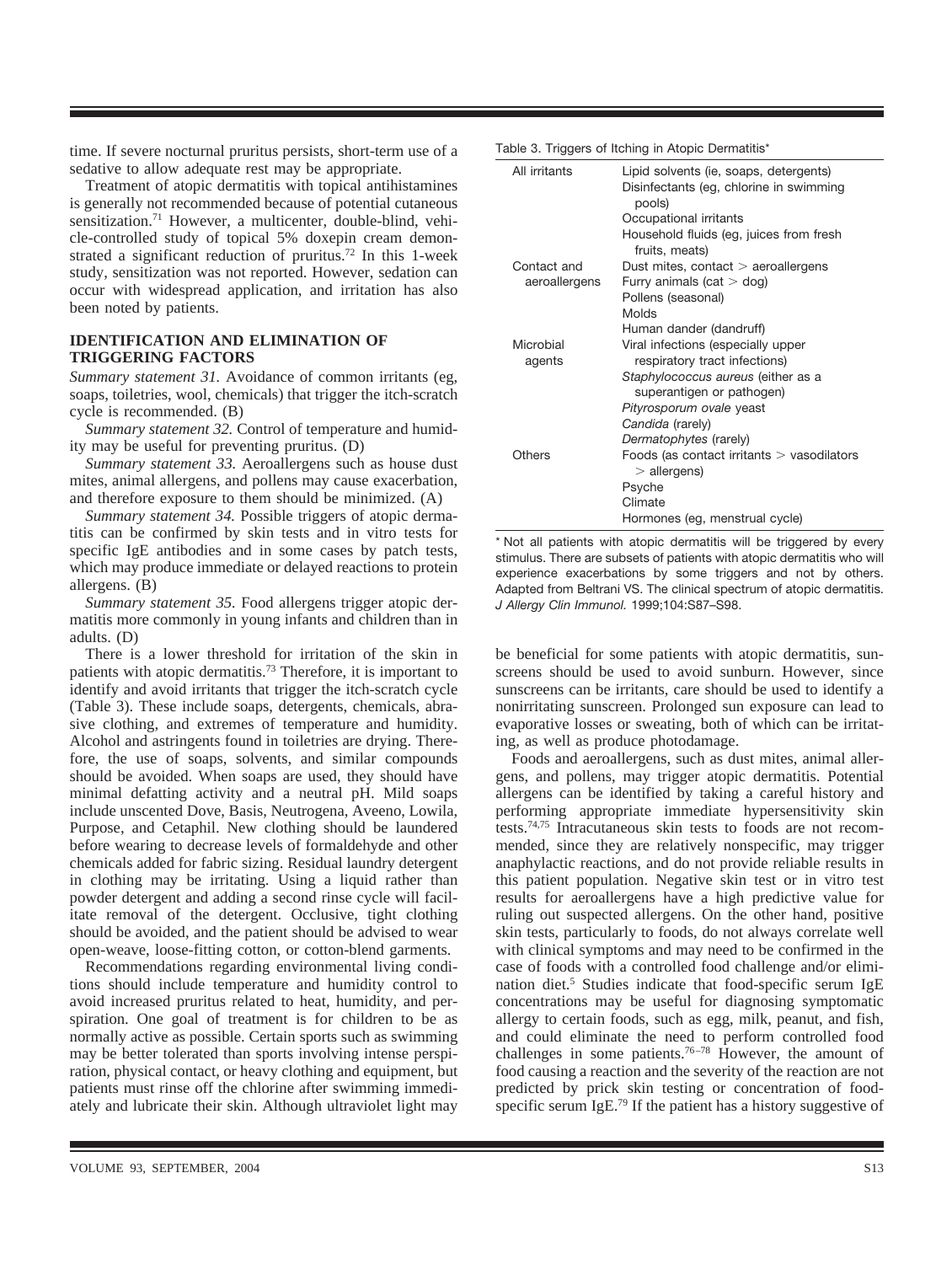time. If severe nocturnal pruritus persists, short-term use of a sedative to allow adequate rest may be appropriate.

Treatment of atopic dermatitis with topical antihistamines is generally not recommended because of potential cutaneous sensitization.<sup>71</sup> However, a multicenter, double-blind, vehicle-controlled study of topical 5% doxepin cream demonstrated a significant reduction of pruritus.<sup>72</sup> In this 1-week study, sensitization was not reported. However, sedation can occur with widespread application, and irritation has also been noted by patients.

# **IDENTIFICATION AND ELIMINATION OF TRIGGERING FACTORS**

*Summary statement 31.* Avoidance of common irritants (eg, soaps, toiletries, wool, chemicals) that trigger the itch-scratch cycle is recommended. (B)

*Summary statement 32.* Control of temperature and humidity may be useful for preventing pruritus. (D)

*Summary statement 33.* Aeroallergens such as house dust mites, animal allergens, and pollens may cause exacerbation, and therefore exposure to them should be minimized. (A)

*Summary statement 34.* Possible triggers of atopic dermatitis can be confirmed by skin tests and in vitro tests for specific IgE antibodies and in some cases by patch tests, which may produce immediate or delayed reactions to protein allergens. (B)

*Summary statement 35.* Food allergens trigger atopic dermatitis more commonly in young infants and children than in adults. (D)

There is a lower threshold for irritation of the skin in patients with atopic dermatitis.73 Therefore, it is important to identify and avoid irritants that trigger the itch-scratch cycle (Table 3). These include soaps, detergents, chemicals, abrasive clothing, and extremes of temperature and humidity. Alcohol and astringents found in toiletries are drying. Therefore, the use of soaps, solvents, and similar compounds should be avoided. When soaps are used, they should have minimal defatting activity and a neutral pH. Mild soaps include unscented Dove, Basis, Neutrogena, Aveeno, Lowila, Purpose, and Cetaphil. New clothing should be laundered before wearing to decrease levels of formaldehyde and other chemicals added for fabric sizing. Residual laundry detergent in clothing may be irritating. Using a liquid rather than powder detergent and adding a second rinse cycle will facilitate removal of the detergent. Occlusive, tight clothing should be avoided, and the patient should be advised to wear open-weave, loose-fitting cotton, or cotton-blend garments.

Recommendations regarding environmental living conditions should include temperature and humidity control to avoid increased pruritus related to heat, humidity, and perspiration. One goal of treatment is for children to be as normally active as possible. Certain sports such as swimming may be better tolerated than sports involving intense perspiration, physical contact, or heavy clothing and equipment, but patients must rinse off the chlorine after swimming immediately and lubricate their skin. Although ultraviolet light may Table 3. Triggers of Itching in Atopic Dermatitis\*

| All irritants | Lipid solvents (ie, soaps, detergents)<br>Disinfectants (eg, chlorine in swimming<br>pools) |
|---------------|---------------------------------------------------------------------------------------------|
|               | Occupational irritants                                                                      |
|               | Household fluids (eg, juices from fresh<br>fruits, meats)                                   |
| Contact and   | Dust mites, contact $>$ aeroallergens                                                       |
| aeroallergens | Furry animals (cat $>$ dog)                                                                 |
|               | Pollens (seasonal)                                                                          |
|               | Molds                                                                                       |
|               | Human dander (dandruff)                                                                     |
| Microbial     | Viral infections (especially upper                                                          |
| agents        | respiratory tract infections)                                                               |
|               | Staphylococcus aureus (either as a                                                          |
|               | superantigen or pathogen)                                                                   |
|               | Pityrosporum ovale yeast                                                                    |
|               | Candida (rarely)                                                                            |
|               | Dermatophytes (rarely)                                                                      |
| Others        | Foods (as contact irritants $>$ vasodilators<br>$>$ allergens)                              |
|               | Psyche                                                                                      |
|               | Climate                                                                                     |
|               | Hormones (eg, menstrual cycle)                                                              |
|               |                                                                                             |

\* Not all patients with atopic dermatitis will be triggered by every stimulus. There are subsets of patients with atopic dermatitis who will experience exacerbations by some triggers and not by others. Adapted from Beltrani VS. The clinical spectrum of atopic dermatitis. *J Allergy Clin Immunol.* 1999;104:S87–S98.

be beneficial for some patients with atopic dermatitis, sunscreens should be used to avoid sunburn. However, since sunscreens can be irritants, care should be used to identify a nonirritating sunscreen. Prolonged sun exposure can lead to evaporative losses or sweating, both of which can be irritating, as well as produce photodamage.

Foods and aeroallergens, such as dust mites, animal allergens, and pollens, may trigger atopic dermatitis. Potential allergens can be identified by taking a careful history and performing appropriate immediate hypersensitivity skin tests.74,75 Intracutaneous skin tests to foods are not recommended, since they are relatively nonspecific, may trigger anaphylactic reactions, and do not provide reliable results in this patient population. Negative skin test or in vitro test results for aeroallergens have a high predictive value for ruling out suspected allergens. On the other hand, positive skin tests, particularly to foods, do not always correlate well with clinical symptoms and may need to be confirmed in the case of foods with a controlled food challenge and/or elimination diet.5 Studies indicate that food-specific serum IgE concentrations may be useful for diagnosing symptomatic allergy to certain foods, such as egg, milk, peanut, and fish, and could eliminate the need to perform controlled food challenges in some patients.76–78 However, the amount of food causing a reaction and the severity of the reaction are not predicted by prick skin testing or concentration of foodspecific serum IgE.79 If the patient has a history suggestive of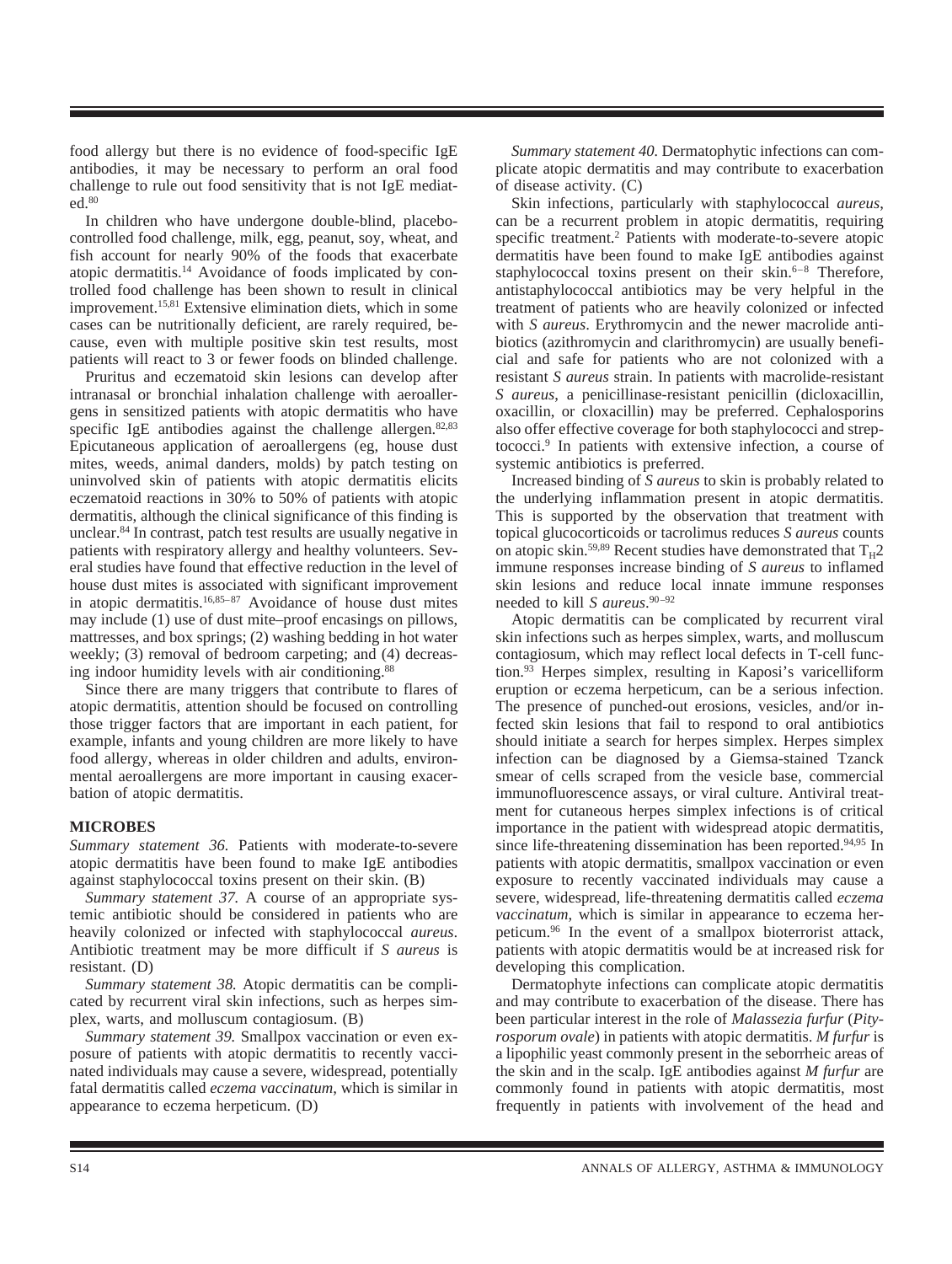food allergy but there is no evidence of food-specific IgE antibodies, it may be necessary to perform an oral food challenge to rule out food sensitivity that is not IgE mediated.80

In children who have undergone double-blind, placebocontrolled food challenge, milk, egg, peanut, soy, wheat, and fish account for nearly 90% of the foods that exacerbate atopic dermatitis.14 Avoidance of foods implicated by controlled food challenge has been shown to result in clinical improvement.15,81 Extensive elimination diets, which in some cases can be nutritionally deficient, are rarely required, because, even with multiple positive skin test results, most patients will react to 3 or fewer foods on blinded challenge.

Pruritus and eczematoid skin lesions can develop after intranasal or bronchial inhalation challenge with aeroallergens in sensitized patients with atopic dermatitis who have specific IgE antibodies against the challenge allergen. $82,83$ Epicutaneous application of aeroallergens (eg, house dust mites, weeds, animal danders, molds) by patch testing on uninvolved skin of patients with atopic dermatitis elicits eczematoid reactions in 30% to 50% of patients with atopic dermatitis, although the clinical significance of this finding is unclear.84 In contrast, patch test results are usually negative in patients with respiratory allergy and healthy volunteers. Several studies have found that effective reduction in the level of house dust mites is associated with significant improvement in atopic dermatitis.<sup>16,85–87</sup> Avoidance of house dust mites may include (1) use of dust mite–proof encasings on pillows, mattresses, and box springs; (2) washing bedding in hot water weekly; (3) removal of bedroom carpeting; and (4) decreasing indoor humidity levels with air conditioning.<sup>88</sup>

Since there are many triggers that contribute to flares of atopic dermatitis, attention should be focused on controlling those trigger factors that are important in each patient, for example, infants and young children are more likely to have food allergy, whereas in older children and adults, environmental aeroallergens are more important in causing exacerbation of atopic dermatitis.

# **MICROBES**

*Summary statement 36.* Patients with moderate-to-severe atopic dermatitis have been found to make IgE antibodies against staphylococcal toxins present on their skin. (B)

*Summary statement 37.* A course of an appropriate systemic antibiotic should be considered in patients who are heavily colonized or infected with staphylococcal *aureus*. Antibiotic treatment may be more difficult if *S aureus* is resistant. (D)

*Summary statement 38.* Atopic dermatitis can be complicated by recurrent viral skin infections, such as herpes simplex, warts, and molluscum contagiosum. (B)

*Summary statement 39.* Smallpox vaccination or even exposure of patients with atopic dermatitis to recently vaccinated individuals may cause a severe, widespread, potentially fatal dermatitis called *eczema vaccinatum*, which is similar in appearance to eczema herpeticum. (D)

*Summary statement 40.* Dermatophytic infections can complicate atopic dermatitis and may contribute to exacerbation of disease activity. (C)

Skin infections, particularly with staphylococcal *aureus*, can be a recurrent problem in atopic dermatitis, requiring specific treatment.<sup>2</sup> Patients with moderate-to-severe atopic dermatitis have been found to make IgE antibodies against staphylococcal toxins present on their skin.<sup>6–8</sup> Therefore, antistaphylococcal antibiotics may be very helpful in the treatment of patients who are heavily colonized or infected with *S aureus*. Erythromycin and the newer macrolide antibiotics (azithromycin and clarithromycin) are usually beneficial and safe for patients who are not colonized with a resistant *S aureus* strain. In patients with macrolide-resistant *S aureus*, a penicillinase-resistant penicillin (dicloxacillin, oxacillin, or cloxacillin) may be preferred. Cephalosporins also offer effective coverage for both staphylococci and streptococci.9 In patients with extensive infection, a course of systemic antibiotics is preferred.

Increased binding of *S aureus* to skin is probably related to the underlying inflammation present in atopic dermatitis. This is supported by the observation that treatment with topical glucocorticoids or tacrolimus reduces *S aureus* counts on atopic skin.<sup>59,89</sup> Recent studies have demonstrated that  $T_H2$ immune responses increase binding of *S aureus* to inflamed skin lesions and reduce local innate immune responses needed to kill *S aureus*. 90–92

Atopic dermatitis can be complicated by recurrent viral skin infections such as herpes simplex, warts, and molluscum contagiosum, which may reflect local defects in T-cell function.93 Herpes simplex, resulting in Kaposi's varicelliform eruption or eczema herpeticum, can be a serious infection. The presence of punched-out erosions, vesicles, and/or infected skin lesions that fail to respond to oral antibiotics should initiate a search for herpes simplex. Herpes simplex infection can be diagnosed by a Giemsa-stained Tzanck smear of cells scraped from the vesicle base, commercial immunofluorescence assays, or viral culture. Antiviral treatment for cutaneous herpes simplex infections is of critical importance in the patient with widespread atopic dermatitis, since life-threatening dissemination has been reported.<sup>94,95</sup> In patients with atopic dermatitis, smallpox vaccination or even exposure to recently vaccinated individuals may cause a severe, widespread, life-threatening dermatitis called *eczema vaccinatum*, which is similar in appearance to eczema herpeticum.96 In the event of a smallpox bioterrorist attack, patients with atopic dermatitis would be at increased risk for developing this complication.

Dermatophyte infections can complicate atopic dermatitis and may contribute to exacerbation of the disease. There has been particular interest in the role of *Malassezia furfur* (*Pityrosporum ovale*) in patients with atopic dermatitis. *M furfur* is a lipophilic yeast commonly present in the seborrheic areas of the skin and in the scalp. IgE antibodies against *M furfur* are commonly found in patients with atopic dermatitis, most frequently in patients with involvement of the head and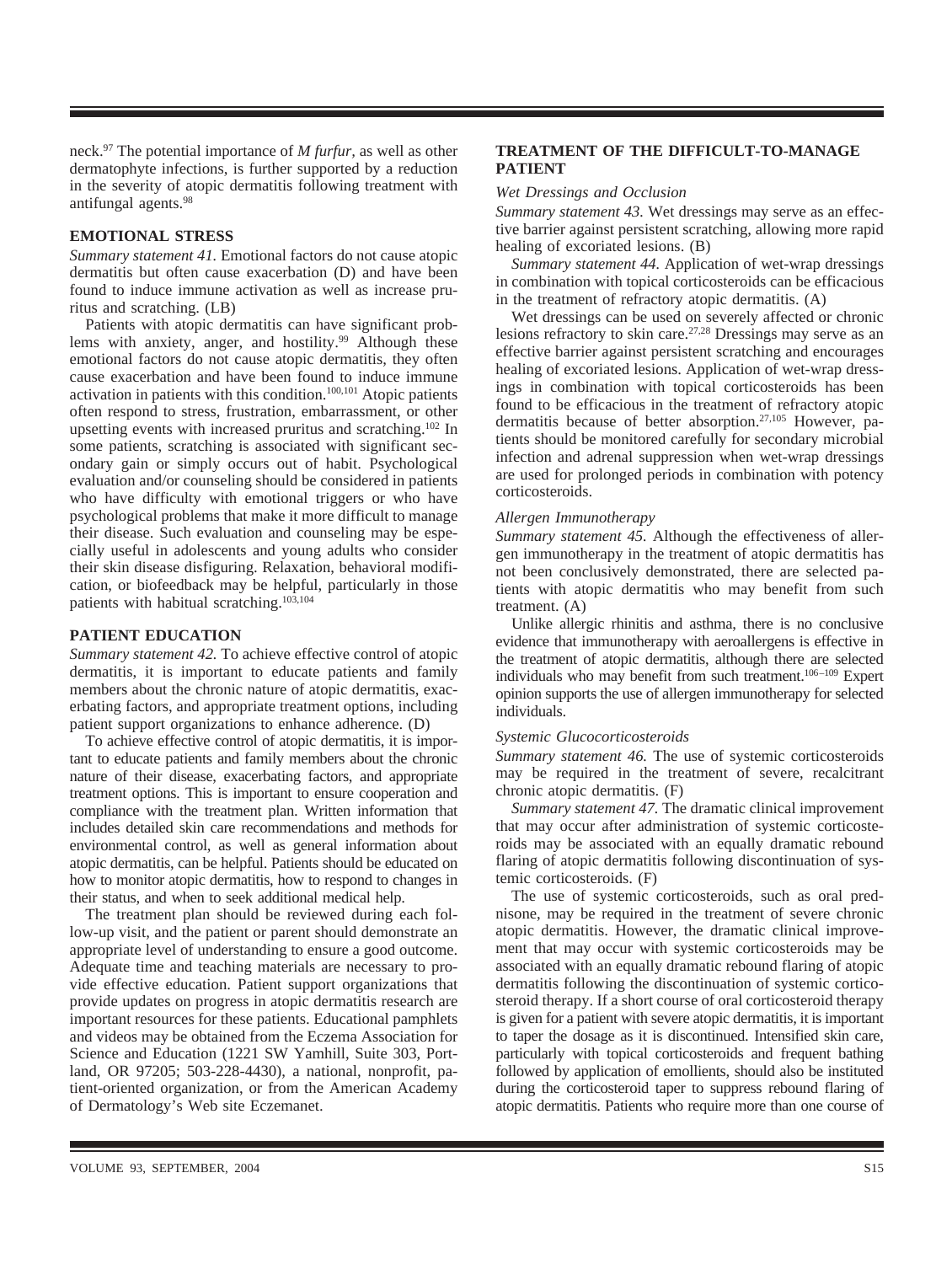neck.97 The potential importance of *M furfur,* as well as other dermatophyte infections, is further supported by a reduction in the severity of atopic dermatitis following treatment with antifungal agents.98

# **EMOTIONAL STRESS**

*Summary statement 41.* Emotional factors do not cause atopic dermatitis but often cause exacerbation (D) and have been found to induce immune activation as well as increase pruritus and scratching. (LB)

Patients with atopic dermatitis can have significant problems with anxiety, anger, and hostility.<sup>99</sup> Although these emotional factors do not cause atopic dermatitis, they often cause exacerbation and have been found to induce immune activation in patients with this condition.100,101 Atopic patients often respond to stress, frustration, embarrassment, or other upsetting events with increased pruritus and scratching.<sup>102</sup> In some patients, scratching is associated with significant secondary gain or simply occurs out of habit. Psychological evaluation and/or counseling should be considered in patients who have difficulty with emotional triggers or who have psychological problems that make it more difficult to manage their disease. Such evaluation and counseling may be especially useful in adolescents and young adults who consider their skin disease disfiguring. Relaxation, behavioral modification, or biofeedback may be helpful, particularly in those patients with habitual scratching.<sup>103,104</sup>

# **PATIENT EDUCATION**

*Summary statement 42.* To achieve effective control of atopic dermatitis, it is important to educate patients and family members about the chronic nature of atopic dermatitis, exacerbating factors, and appropriate treatment options, including patient support organizations to enhance adherence. (D)

To achieve effective control of atopic dermatitis, it is important to educate patients and family members about the chronic nature of their disease, exacerbating factors, and appropriate treatment options. This is important to ensure cooperation and compliance with the treatment plan. Written information that includes detailed skin care recommendations and methods for environmental control, as well as general information about atopic dermatitis, can be helpful. Patients should be educated on how to monitor atopic dermatitis, how to respond to changes in their status, and when to seek additional medical help.

The treatment plan should be reviewed during each follow-up visit, and the patient or parent should demonstrate an appropriate level of understanding to ensure a good outcome. Adequate time and teaching materials are necessary to provide effective education. Patient support organizations that provide updates on progress in atopic dermatitis research are important resources for these patients. Educational pamphlets and videos may be obtained from the Eczema Association for Science and Education (1221 SW Yamhill, Suite 303, Portland, OR 97205; 503-228-4430), a national, nonprofit, patient-oriented organization, or from the American Academy of Dermatology's Web site Eczemanet.

# **TREATMENT OF THE DIFFICULT-TO-MANAGE PATIENT**

# *Wet Dressings and Occlusion*

*Summary statement 43.* Wet dressings may serve as an effective barrier against persistent scratching, allowing more rapid healing of excoriated lesions. (B)

*Summary statement 44.* Application of wet-wrap dressings in combination with topical corticosteroids can be efficacious in the treatment of refractory atopic dermatitis. (A)

Wet dressings can be used on severely affected or chronic lesions refractory to skin care.<sup>27,28</sup> Dressings may serve as an effective barrier against persistent scratching and encourages healing of excoriated lesions. Application of wet-wrap dressings in combination with topical corticosteroids has been found to be efficacious in the treatment of refractory atopic dermatitis because of better absorption.<sup>27,105</sup> However, patients should be monitored carefully for secondary microbial infection and adrenal suppression when wet-wrap dressings are used for prolonged periods in combination with potency corticosteroids.

# *Allergen Immunotherapy*

*Summary statement 45.* Although the effectiveness of allergen immunotherapy in the treatment of atopic dermatitis has not been conclusively demonstrated, there are selected patients with atopic dermatitis who may benefit from such treatment. (A)

Unlike allergic rhinitis and asthma, there is no conclusive evidence that immunotherapy with aeroallergens is effective in the treatment of atopic dermatitis, although there are selected individuals who may benefit from such treatment.<sup>106–109</sup> Expert opinion supports the use of allergen immunotherapy for selected individuals.

# *Systemic Glucocorticosteroids*

*Summary statement 46.* The use of systemic corticosteroids may be required in the treatment of severe, recalcitrant chronic atopic dermatitis. (F)

*Summary statement 47.* The dramatic clinical improvement that may occur after administration of systemic corticosteroids may be associated with an equally dramatic rebound flaring of atopic dermatitis following discontinuation of systemic corticosteroids. (F)

The use of systemic corticosteroids, such as oral prednisone, may be required in the treatment of severe chronic atopic dermatitis. However, the dramatic clinical improvement that may occur with systemic corticosteroids may be associated with an equally dramatic rebound flaring of atopic dermatitis following the discontinuation of systemic corticosteroid therapy. If a short course of oral corticosteroid therapy is given for a patient with severe atopic dermatitis, it is important to taper the dosage as it is discontinued. Intensified skin care, particularly with topical corticosteroids and frequent bathing followed by application of emollients, should also be instituted during the corticosteroid taper to suppress rebound flaring of atopic dermatitis. Patients who require more than one course of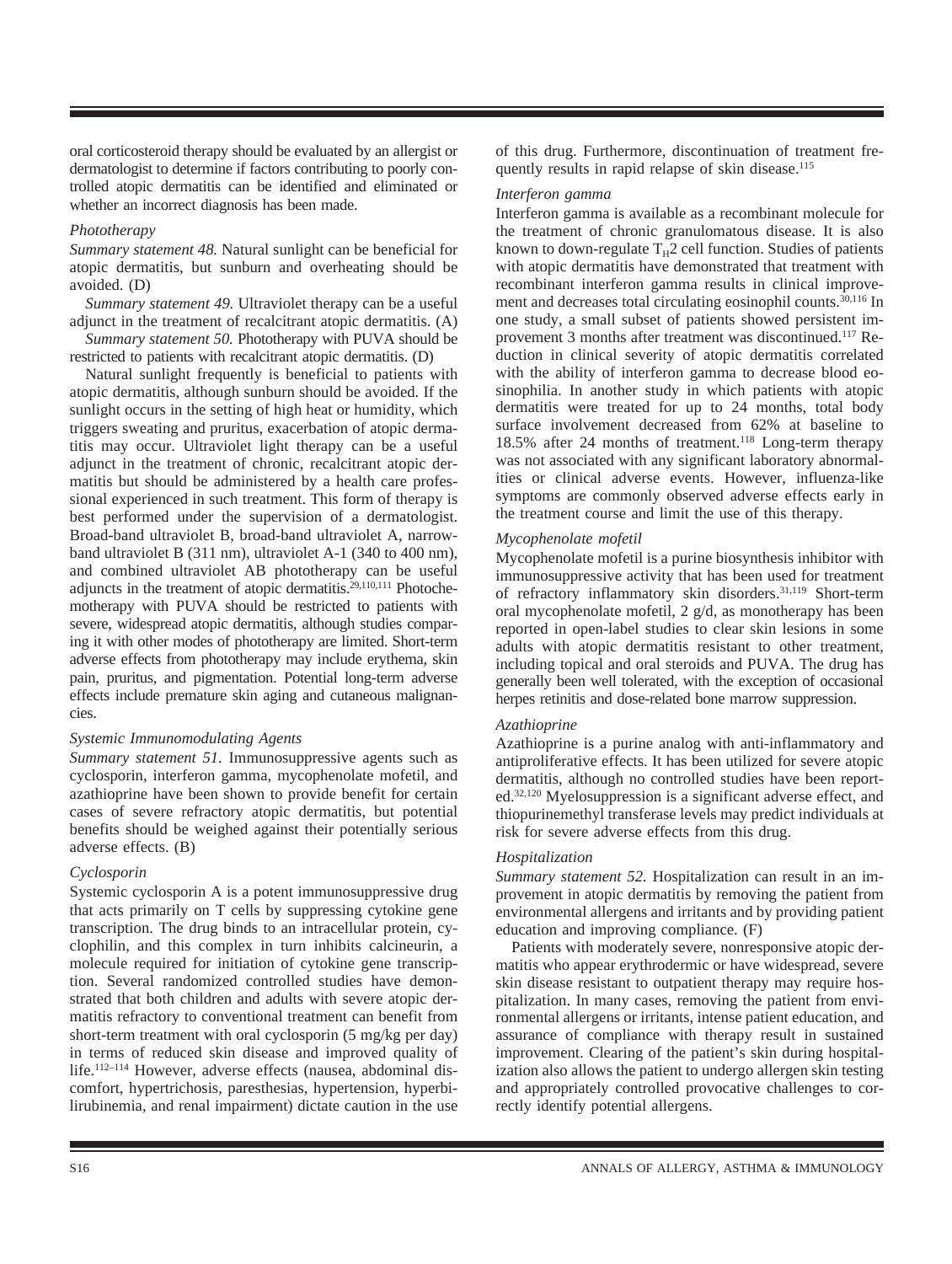oral corticosteroid therapy should be evaluated by an allergist or dermatologist to determine if factors contributing to poorly controlled atopic dermatitis can be identified and eliminated or whether an incorrect diagnosis has been made.

# *Phototherapy*

*Summary statement 48.* Natural sunlight can be beneficial for atopic dermatitis, but sunburn and overheating should be avoided. (D)

*Summary statement 49.* Ultraviolet therapy can be a useful adjunct in the treatment of recalcitrant atopic dermatitis. (A)

*Summary statement 50.* Phototherapy with PUVA should be restricted to patients with recalcitrant atopic dermatitis. (D)

Natural sunlight frequently is beneficial to patients with atopic dermatitis, although sunburn should be avoided. If the sunlight occurs in the setting of high heat or humidity, which triggers sweating and pruritus, exacerbation of atopic dermatitis may occur. Ultraviolet light therapy can be a useful adjunct in the treatment of chronic, recalcitrant atopic dermatitis but should be administered by a health care professional experienced in such treatment. This form of therapy is best performed under the supervision of a dermatologist. Broad-band ultraviolet B, broad-band ultraviolet A, narrowband ultraviolet B (311 nm), ultraviolet A-1 (340 to 400 nm), and combined ultraviolet AB phototherapy can be useful adjuncts in the treatment of atopic dermatitis.29,110,111 Photochemotherapy with PUVA should be restricted to patients with severe, widespread atopic dermatitis, although studies comparing it with other modes of phototherapy are limited. Short-term adverse effects from phototherapy may include erythema, skin pain, pruritus, and pigmentation. Potential long-term adverse effects include premature skin aging and cutaneous malignancies.

# *Systemic Immunomodulating Agents*

*Summary statement 51.* Immunosuppressive agents such as cyclosporin, interferon gamma, mycophenolate mofetil, and azathioprine have been shown to provide benefit for certain cases of severe refractory atopic dermatitis, but potential benefits should be weighed against their potentially serious adverse effects. (B)

# *Cyclosporin*

Systemic cyclosporin A is a potent immunosuppressive drug that acts primarily on T cells by suppressing cytokine gene transcription. The drug binds to an intracellular protein, cyclophilin, and this complex in turn inhibits calcineurin, a molecule required for initiation of cytokine gene transcription. Several randomized controlled studies have demonstrated that both children and adults with severe atopic dermatitis refractory to conventional treatment can benefit from short-term treatment with oral cyclosporin (5 mg/kg per day) in terms of reduced skin disease and improved quality of life.112–114 However, adverse effects (nausea, abdominal discomfort, hypertrichosis, paresthesias, hypertension, hyperbilirubinemia, and renal impairment) dictate caution in the use of this drug. Furthermore, discontinuation of treatment frequently results in rapid relapse of skin disease.<sup>115</sup>

# *Interferon gamma*

Interferon gamma is available as a recombinant molecule for the treatment of chronic granulomatous disease. It is also known to down-regulate  $T_H2$  cell function. Studies of patients with atopic dermatitis have demonstrated that treatment with recombinant interferon gamma results in clinical improvement and decreases total circulating eosinophil counts.<sup>30,116</sup> In one study, a small subset of patients showed persistent improvement 3 months after treatment was discontinued.117 Reduction in clinical severity of atopic dermatitis correlated with the ability of interferon gamma to decrease blood eosinophilia. In another study in which patients with atopic dermatitis were treated for up to 24 months, total body surface involvement decreased from 62% at baseline to 18.5% after 24 months of treatment.118 Long-term therapy was not associated with any significant laboratory abnormalities or clinical adverse events. However, influenza-like symptoms are commonly observed adverse effects early in the treatment course and limit the use of this therapy.

# *Mycophenolate mofetil*

Mycophenolate mofetil is a purine biosynthesis inhibitor with immunosuppressive activity that has been used for treatment of refractory inflammatory skin disorders.31,119 Short-term oral mycophenolate mofetil, 2 g/d, as monotherapy has been reported in open-label studies to clear skin lesions in some adults with atopic dermatitis resistant to other treatment, including topical and oral steroids and PUVA. The drug has generally been well tolerated, with the exception of occasional herpes retinitis and dose-related bone marrow suppression.

# *Azathioprine*

Azathioprine is a purine analog with anti-inflammatory and antiproliferative effects. It has been utilized for severe atopic dermatitis, although no controlled studies have been reported.32,120 Myelosuppression is a significant adverse effect, and thiopurinemethyl transferase levels may predict individuals at risk for severe adverse effects from this drug.

# *Hospitalization*

*Summary statement 52.* Hospitalization can result in an improvement in atopic dermatitis by removing the patient from environmental allergens and irritants and by providing patient education and improving compliance. (F)

Patients with moderately severe, nonresponsive atopic dermatitis who appear erythrodermic or have widespread, severe skin disease resistant to outpatient therapy may require hospitalization. In many cases, removing the patient from environmental allergens or irritants, intense patient education, and assurance of compliance with therapy result in sustained improvement. Clearing of the patient's skin during hospitalization also allows the patient to undergo allergen skin testing and appropriately controlled provocative challenges to correctly identify potential allergens.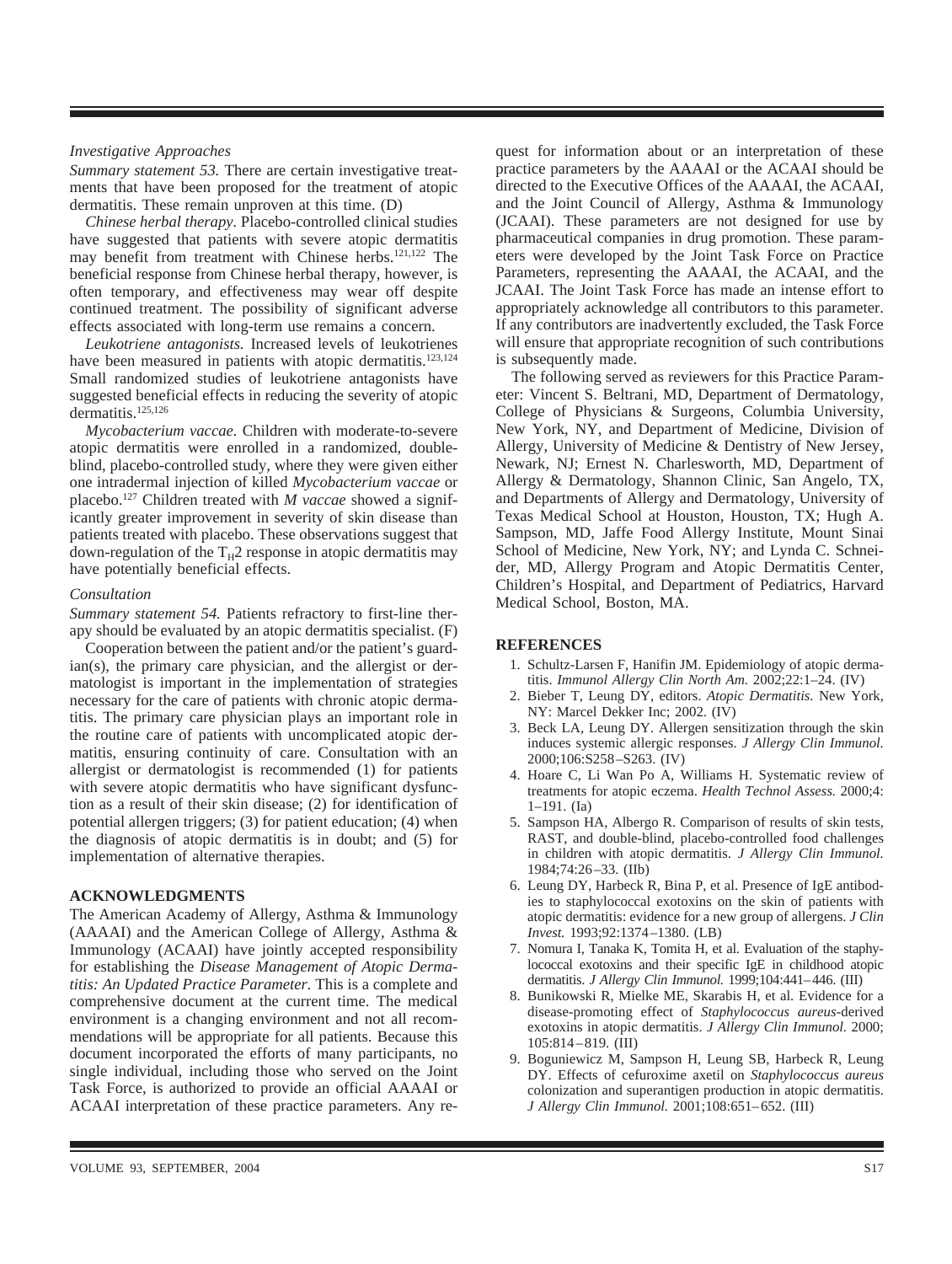## *Investigative Approaches*

*Summary statement 53.* There are certain investigative treatments that have been proposed for the treatment of atopic dermatitis. These remain unproven at this time. (D)

*Chinese herbal therapy.* Placebo-controlled clinical studies have suggested that patients with severe atopic dermatitis may benefit from treatment with Chinese herbs.<sup>121,122</sup> The beneficial response from Chinese herbal therapy, however, is often temporary, and effectiveness may wear off despite continued treatment. The possibility of significant adverse effects associated with long-term use remains a concern.

*Leukotriene antagonists.* Increased levels of leukotrienes have been measured in patients with atopic dermatitis.<sup>123,124</sup> Small randomized studies of leukotriene antagonists have suggested beneficial effects in reducing the severity of atopic dermatitis.<sup>125,126</sup>

*Mycobacterium vaccae.* Children with moderate-to-severe atopic dermatitis were enrolled in a randomized, doubleblind, placebo-controlled study, where they were given either one intradermal injection of killed *Mycobacterium vaccae* or placebo.127 Children treated with *M vaccae* showed a significantly greater improvement in severity of skin disease than patients treated with placebo. These observations suggest that down-regulation of the  $T_H2$  response in atopic dermatitis may have potentially beneficial effects.

#### *Consultation*

*Summary statement 54.* Patients refractory to first-line therapy should be evaluated by an atopic dermatitis specialist. (F)

Cooperation between the patient and/or the patient's guardian(s), the primary care physician, and the allergist or dermatologist is important in the implementation of strategies necessary for the care of patients with chronic atopic dermatitis. The primary care physician plays an important role in the routine care of patients with uncomplicated atopic dermatitis, ensuring continuity of care. Consultation with an allergist or dermatologist is recommended (1) for patients with severe atopic dermatitis who have significant dysfunction as a result of their skin disease; (2) for identification of potential allergen triggers; (3) for patient education; (4) when the diagnosis of atopic dermatitis is in doubt; and (5) for implementation of alternative therapies.

# **ACKNOWLEDGMENTS**

The American Academy of Allergy, Asthma & Immunology (AAAAI) and the American College of Allergy, Asthma & Immunology (ACAAI) have jointly accepted responsibility for establishing the *Disease Management of Atopic Dermatitis: An Updated Practice Parameter.* This is a complete and comprehensive document at the current time. The medical environment is a changing environment and not all recommendations will be appropriate for all patients. Because this document incorporated the efforts of many participants, no single individual, including those who served on the Joint Task Force, is authorized to provide an official AAAAI or ACAAI interpretation of these practice parameters. Any re-

quest for information about or an interpretation of these practice parameters by the AAAAI or the ACAAI should be directed to the Executive Offices of the AAAAI, the ACAAI, and the Joint Council of Allergy, Asthma & Immunology (JCAAI). These parameters are not designed for use by pharmaceutical companies in drug promotion. These parameters were developed by the Joint Task Force on Practice Parameters, representing the AAAAI, the ACAAI, and the JCAAI. The Joint Task Force has made an intense effort to appropriately acknowledge all contributors to this parameter. If any contributors are inadvertently excluded, the Task Force will ensure that appropriate recognition of such contributions is subsequently made.

The following served as reviewers for this Practice Parameter: Vincent S. Beltrani, MD, Department of Dermatology, College of Physicians & Surgeons, Columbia University, New York, NY, and Department of Medicine, Division of Allergy, University of Medicine & Dentistry of New Jersey, Newark, NJ; Ernest N. Charlesworth, MD, Department of Allergy & Dermatology, Shannon Clinic, San Angelo, TX, and Departments of Allergy and Dermatology, University of Texas Medical School at Houston, Houston, TX; Hugh A. Sampson, MD, Jaffe Food Allergy Institute, Mount Sinai School of Medicine, New York, NY; and Lynda C. Schneider, MD, Allergy Program and Atopic Dermatitis Center, Children's Hospital, and Department of Pediatrics, Harvard Medical School, Boston, MA.

# **REFERENCES**

- 1. Schultz-Larsen F, Hanifin JM. Epidemiology of atopic dermatitis. *Immunol Allergy Clin North Am.* 2002;22:1–24. (IV)
- 2. Bieber T, Leung DY, editors. *Atopic Dermatitis.* New York, NY: Marcel Dekker Inc; 2002. (IV)
- 3. Beck LA, Leung DY. Allergen sensitization through the skin induces systemic allergic responses. *J Allergy Clin Immunol.* 2000;106:S258–S263. (IV)
- 4. Hoare C, Li Wan Po A, Williams H. Systematic review of treatments for atopic eczema. *Health Technol Assess.* 2000;4: 1–191. (Ia)
- 5. Sampson HA, Albergo R. Comparison of results of skin tests, RAST, and double-blind, placebo-controlled food challenges in children with atopic dermatitis. *J Allergy Clin Immunol.* 1984;74:26–33. (IIb)
- 6. Leung DY, Harbeck R, Bina P, et al. Presence of IgE antibodies to staphylococcal exotoxins on the skin of patients with atopic dermatitis: evidence for a new group of allergens. *J Clin Invest.* 1993;92:1374–1380. (LB)
- 7. Nomura I, Tanaka K, Tomita H, et al. Evaluation of the staphylococcal exotoxins and their specific IgE in childhood atopic dermatitis. *J Allergy Clin Immunol.* 1999;104:441–446. (III)
- 8. Bunikowski R, Mielke ME, Skarabis H, et al. Evidence for a disease-promoting effect of *Staphylococcus aureus*-derived exotoxins in atopic dermatitis. *J Allergy Clin Immunol.* 2000; 105:814–819. (III)
- 9. Boguniewicz M, Sampson H, Leung SB, Harbeck R, Leung DY. Effects of cefuroxime axetil on *Staphylococcus aureus* colonization and superantigen production in atopic dermatitis. *J Allergy Clin Immunol.* 2001;108:651–652. (III)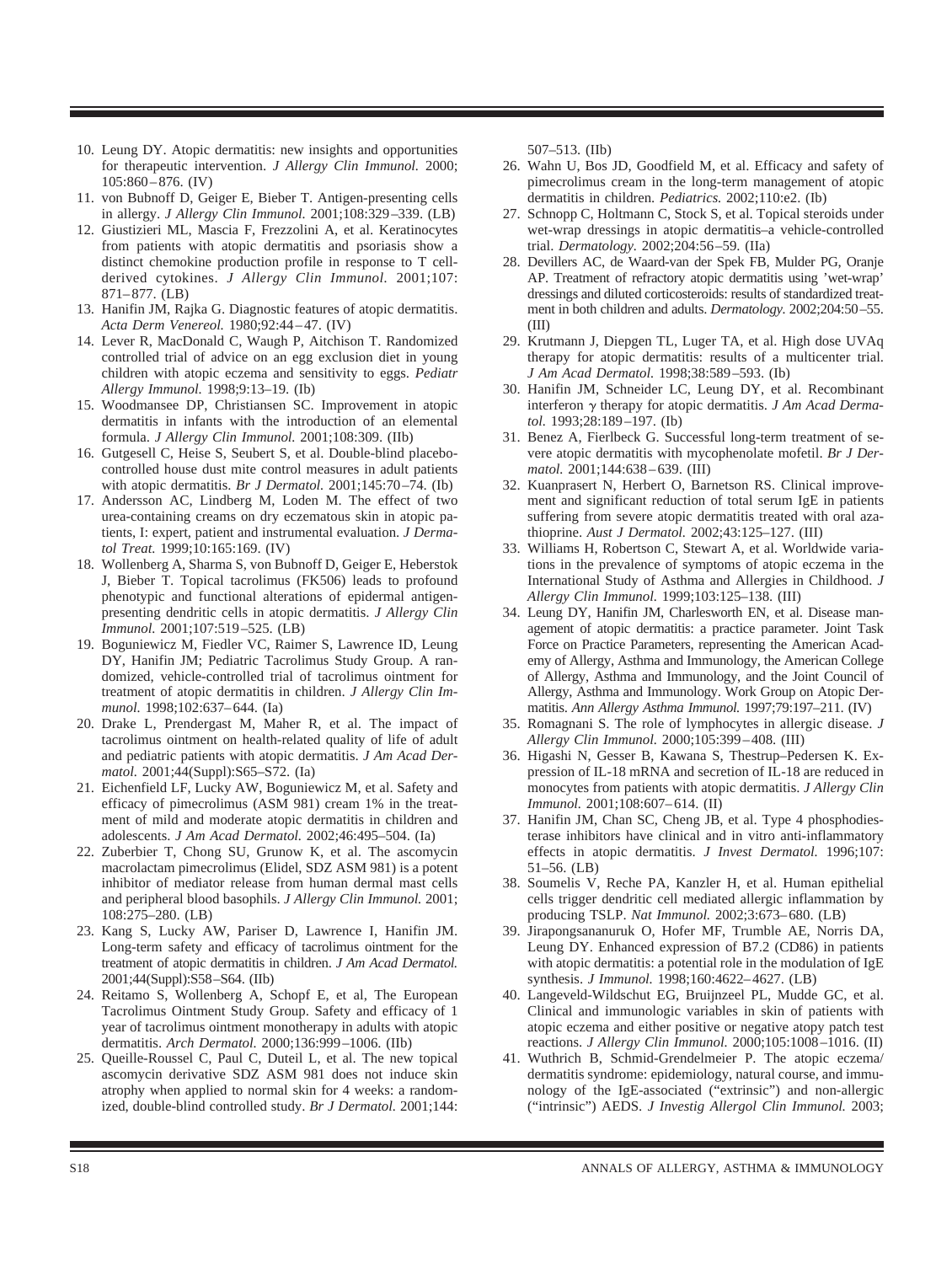- 10. Leung DY. Atopic dermatitis: new insights and opportunities for therapeutic intervention. *J Allergy Clin Immunol.* 2000; 105:860–876. (IV)
- 11. von Bubnoff D, Geiger E, Bieber T. Antigen-presenting cells in allergy. *J Allergy Clin Immunol.* 2001;108:329–339. (LB)
- 12. Giustizieri ML, Mascia F, Frezzolini A, et al. Keratinocytes from patients with atopic dermatitis and psoriasis show a distinct chemokine production profile in response to T cellderived cytokines. *J Allergy Clin Immunol.* 2001;107: 871–877. (LB)
- 13. Hanifin JM, Rajka G. Diagnostic features of atopic dermatitis. *Acta Derm Venereol.* 1980;92:44–47. (IV)
- 14. Lever R, MacDonald C, Waugh P, Aitchison T. Randomized controlled trial of advice on an egg exclusion diet in young children with atopic eczema and sensitivity to eggs. *Pediatr Allergy Immunol.* 1998;9:13–19. (Ib)
- 15. Woodmansee DP, Christiansen SC. Improvement in atopic dermatitis in infants with the introduction of an elemental formula. *J Allergy Clin Immunol.* 2001;108:309. (IIb)
- 16. Gutgesell C, Heise S, Seubert S, et al. Double-blind placebocontrolled house dust mite control measures in adult patients with atopic dermatitis. *Br J Dermatol.* 2001;145:70–74. (Ib)
- 17. Andersson AC, Lindberg M, Loden M. The effect of two urea-containing creams on dry eczematous skin in atopic patients, I: expert, patient and instrumental evaluation. *J Dermatol Treat.* 1999;10:165:169. (IV)
- 18. Wollenberg A, Sharma S, von Bubnoff D, Geiger E, Heberstok J, Bieber T. Topical tacrolimus (FK506) leads to profound phenotypic and functional alterations of epidermal antigenpresenting dendritic cells in atopic dermatitis. *J Allergy Clin Immunol.* 2001;107:519–525. (LB)
- 19. Boguniewicz M, Fiedler VC, Raimer S, Lawrence ID, Leung DY, Hanifin JM; Pediatric Tacrolimus Study Group. A randomized, vehicle-controlled trial of tacrolimus ointment for treatment of atopic dermatitis in children. *J Allergy Clin Immunol.* 1998;102:637–644. (Ia)
- 20. Drake L, Prendergast M, Maher R, et al. The impact of tacrolimus ointment on health-related quality of life of adult and pediatric patients with atopic dermatitis. *J Am Acad Dermatol.* 2001;44(Suppl):S65–S72. (Ia)
- 21. Eichenfield LF, Lucky AW, Boguniewicz M, et al. Safety and efficacy of pimecrolimus (ASM 981) cream 1% in the treatment of mild and moderate atopic dermatitis in children and adolescents. *J Am Acad Dermatol.* 2002;46:495–504. (Ia)
- 22. Zuberbier T, Chong SU, Grunow K, et al. The ascomycin macrolactam pimecrolimus (Elidel, SDZ ASM 981) is a potent inhibitor of mediator release from human dermal mast cells and peripheral blood basophils. *J Allergy Clin Immunol.* 2001; 108:275–280. (LB)
- 23. Kang S, Lucky AW, Pariser D, Lawrence I, Hanifin JM. Long-term safety and efficacy of tacrolimus ointment for the treatment of atopic dermatitis in children. *J Am Acad Dermatol.* 2001;44(Suppl):S58–S64. (IIb)
- 24. Reitamo S, Wollenberg A, Schopf E, et al, The European Tacrolimus Ointment Study Group. Safety and efficacy of 1 year of tacrolimus ointment monotherapy in adults with atopic dermatitis. *Arch Dermatol.* 2000;136:999–1006. (IIb)
- 25. Queille-Roussel C, Paul C, Duteil L, et al. The new topical ascomycin derivative SDZ ASM 981 does not induce skin atrophy when applied to normal skin for 4 weeks: a randomized, double-blind controlled study. *Br J Dermatol.* 2001;144:

507–513. (IIb)

- 26. Wahn U, Bos JD, Goodfield M, et al. Efficacy and safety of pimecrolimus cream in the long-term management of atopic dermatitis in children. *Pediatrics.* 2002;110:e2. (Ib)
- 27. Schnopp C, Holtmann C, Stock S, et al. Topical steroids under wet-wrap dressings in atopic dermatitis–a vehicle-controlled trial. *Dermatology.* 2002;204:56–59. (IIa)
- 28. Devillers AC, de Waard-van der Spek FB, Mulder PG, Oranje AP. Treatment of refractory atopic dermatitis using 'wet-wrap' dressings and diluted corticosteroids: results of standardized treatment in both children and adults. *Dermatology.* 2002;204:50–55. (III)
- 29. Krutmann J, Diepgen TL, Luger TA, et al. High dose UVAq therapy for atopic dermatitis: results of a multicenter trial. *J Am Acad Dermatol.* 1998;38:589–593. (Ib)
- 30. Hanifin JM, Schneider LC, Leung DY, et al. Recombinant interferon  $\gamma$  therapy for atopic dermatitis. *J Am Acad Dermatol.* 1993;28:189–197. (Ib)
- 31. Benez A, Fierlbeck G. Successful long-term treatment of severe atopic dermatitis with mycophenolate mofetil. *Br J Dermatol.* 2001;144:638–639. (III)
- 32. Kuanprasert N, Herbert O, Barnetson RS. Clinical improvement and significant reduction of total serum IgE in patients suffering from severe atopic dermatitis treated with oral azathioprine. *Aust J Dermatol.* 2002;43:125–127. (III)
- 33. Williams H, Robertson C, Stewart A, et al. Worldwide variations in the prevalence of symptoms of atopic eczema in the International Study of Asthma and Allergies in Childhood. *J Allergy Clin Immunol.* 1999;103:125–138. (III)
- 34. Leung DY, Hanifin JM, Charlesworth EN, et al. Disease management of atopic dermatitis: a practice parameter. Joint Task Force on Practice Parameters, representing the American Academy of Allergy, Asthma and Immunology, the American College of Allergy, Asthma and Immunology, and the Joint Council of Allergy, Asthma and Immunology. Work Group on Atopic Dermatitis. *Ann Allergy Asthma Immunol.* 1997;79:197–211. (IV)
- 35. Romagnani S. The role of lymphocytes in allergic disease. *J Allergy Clin Immunol.* 2000;105:399–408. (III)
- 36. Higashi N, Gesser B, Kawana S, Thestrup–Pedersen K. Expression of IL-18 mRNA and secretion of IL-18 are reduced in monocytes from patients with atopic dermatitis. *J Allergy Clin Immunol.* 2001;108:607–614. (II)
- 37. Hanifin JM, Chan SC, Cheng JB, et al. Type 4 phosphodiesterase inhibitors have clinical and in vitro anti-inflammatory effects in atopic dermatitis. *J Invest Dermatol.* 1996;107: 51–56. (LB)
- 38. Soumelis V, Reche PA, Kanzler H, et al. Human epithelial cells trigger dendritic cell mediated allergic inflammation by producing TSLP. *Nat Immunol.* 2002;3:673–680. (LB)
- 39. Jirapongsananuruk O, Hofer MF, Trumble AE, Norris DA, Leung DY. Enhanced expression of B7.2 (CD86) in patients with atopic dermatitis: a potential role in the modulation of IgE synthesis. *J Immunol.* 1998;160:4622–4627. (LB)
- 40. Langeveld-Wildschut EG, Bruijnzeel PL, Mudde GC, et al. Clinical and immunologic variables in skin of patients with atopic eczema and either positive or negative atopy patch test reactions. *J Allergy Clin Immunol.* 2000;105:1008–1016. (II)
- 41. Wuthrich B, Schmid-Grendelmeier P. The atopic eczema/ dermatitis syndrome: epidemiology, natural course, and immunology of the IgE-associated ("extrinsic") and non-allergic ("intrinsic") AEDS. *J Investig Allergol Clin Immunol.* 2003;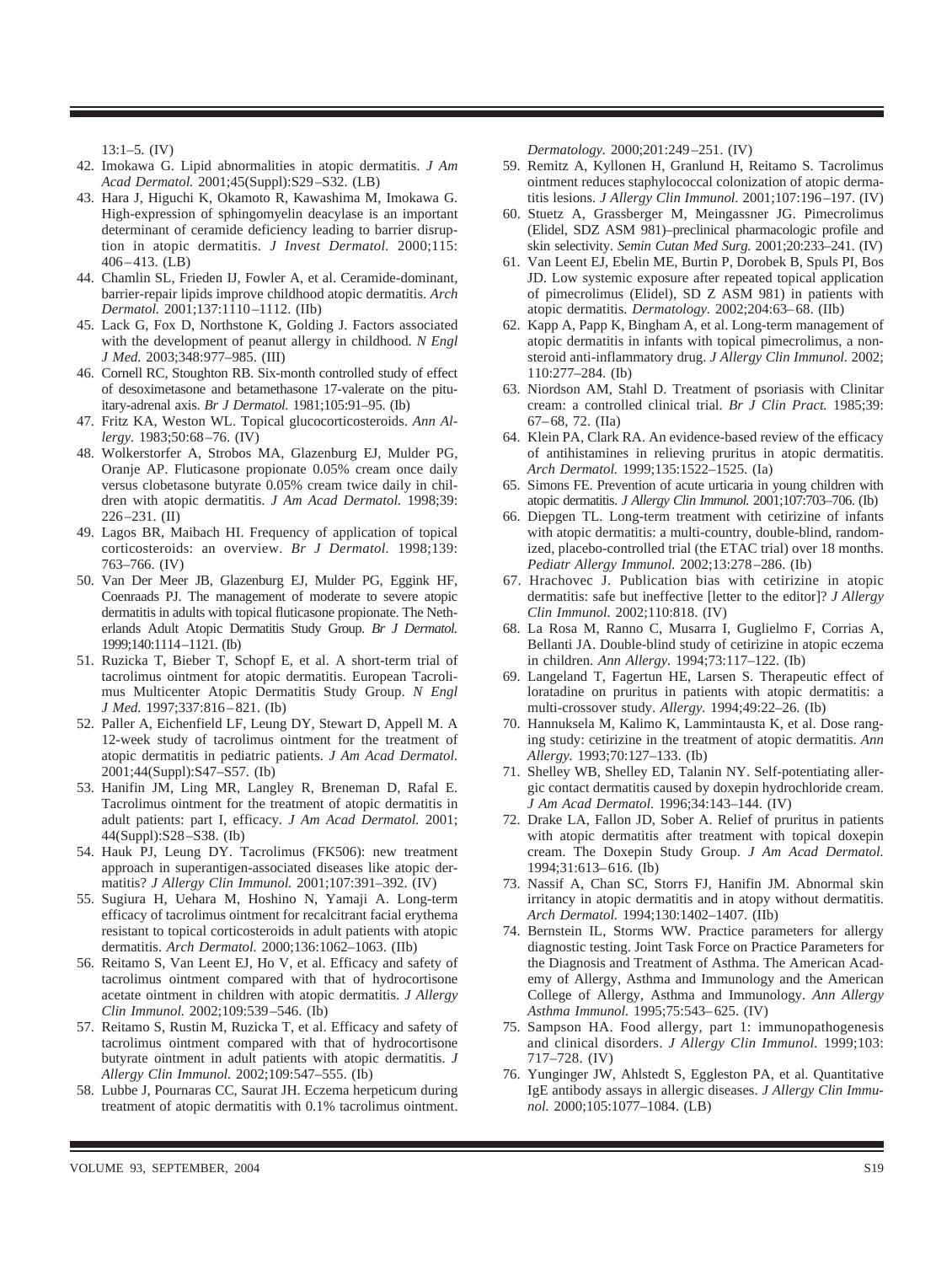13:1–5. (IV)

- 42. Imokawa G. Lipid abnormalities in atopic dermatitis. *J Am Acad Dermatol.* 2001;45(Suppl):S29–S32. (LB)
- 43. Hara J, Higuchi K, Okamoto R, Kawashima M, Imokawa G. High-expression of sphingomyelin deacylase is an important determinant of ceramide deficiency leading to barrier disruption in atopic dermatitis. *J Invest Dermatol.* 2000;115: 406–413. (LB)
- 44. Chamlin SL, Frieden IJ, Fowler A, et al. Ceramide-dominant, barrier-repair lipids improve childhood atopic dermatitis. *Arch Dermatol.* 2001;137:1110–1112. (IIb)
- 45. Lack G, Fox D, Northstone K, Golding J. Factors associated with the development of peanut allergy in childhood. *N Engl J Med.* 2003;348:977–985. (III)
- 46. Cornell RC, Stoughton RB. Six-month controlled study of effect of desoximetasone and betamethasone 17-valerate on the pituitary-adrenal axis. *Br J Dermatol.* 1981;105:91–95. (Ib)
- 47. Fritz KA, Weston WL. Topical glucocorticosteroids. *Ann Allergy.* 1983;50:68–76. (IV)
- 48. Wolkerstorfer A, Strobos MA, Glazenburg EJ, Mulder PG, Oranje AP. Fluticasone propionate 0.05% cream once daily versus clobetasone butyrate 0.05% cream twice daily in children with atopic dermatitis. *J Am Acad Dermatol.* 1998;39: 226–231. (II)
- 49. Lagos BR, Maibach HI. Frequency of application of topical corticosteroids: an overview. *Br J Dermatol.* 1998;139: 763–766. (IV)
- 50. Van Der Meer JB, Glazenburg EJ, Mulder PG, Eggink HF, Coenraads PJ. The management of moderate to severe atopic dermatitis in adults with topical fluticasone propionate. The Netherlands Adult Atopic Dermatitis Study Group. *Br J Dermatol.* 1999;140:1114–1121. (Ib)
- 51. Ruzicka T, Bieber T, Schopf E, et al. A short-term trial of tacrolimus ointment for atopic dermatitis. European Tacrolimus Multicenter Atopic Dermatitis Study Group. *N Engl J Med.* 1997;337:816–821. (Ib)
- 52. Paller A, Eichenfield LF, Leung DY, Stewart D, Appell M. A 12-week study of tacrolimus ointment for the treatment of atopic dermatitis in pediatric patients. *J Am Acad Dermatol.* 2001;44(Suppl):S47–S57. (Ib)
- 53. Hanifin JM, Ling MR, Langley R, Breneman D, Rafal E. Tacrolimus ointment for the treatment of atopic dermatitis in adult patients: part I, efficacy. *J Am Acad Dermatol.* 2001; 44(Suppl):S28–S38. (Ib)
- 54. Hauk PJ, Leung DY. Tacrolimus (FK506): new treatment approach in superantigen-associated diseases like atopic dermatitis? *J Allergy Clin Immunol.* 2001;107:391–392. (IV)
- 55. Sugiura H, Uehara M, Hoshino N, Yamaji A. Long-term efficacy of tacrolimus ointment for recalcitrant facial erythema resistant to topical corticosteroids in adult patients with atopic dermatitis. *Arch Dermatol.* 2000;136:1062–1063. (IIb)
- 56. Reitamo S, Van Leent EJ, Ho V, et al. Efficacy and safety of tacrolimus ointment compared with that of hydrocortisone acetate ointment in children with atopic dermatitis. *J Allergy Clin Immunol.* 2002;109:539–546. (Ib)
- 57. Reitamo S, Rustin M, Ruzicka T, et al. Efficacy and safety of tacrolimus ointment compared with that of hydrocortisone butyrate ointment in adult patients with atopic dermatitis. *J Allergy Clin Immunol.* 2002;109:547–555. (Ib)
- 58. Lubbe J, Pournaras CC, Saurat JH. Eczema herpeticum during treatment of atopic dermatitis with 0.1% tacrolimus ointment.

*Dermatology.* 2000;201:249–251. (IV)

- 59. Remitz A, Kyllonen H, Granlund H, Reitamo S. Tacrolimus ointment reduces staphylococcal colonization of atopic dermatitis lesions. *J Allergy Clin Immunol.* 2001;107:196–197. (IV)
- 60. Stuetz A, Grassberger M, Meingassner JG. Pimecrolimus (Elidel, SDZ ASM 981)–preclinical pharmacologic profile and skin selectivity. *Semin Cutan Med Surg.* 2001;20:233–241. (IV)
- 61. Van Leent EJ, Ebelin ME, Burtin P, Dorobek B, Spuls PI, Bos JD. Low systemic exposure after repeated topical application of pimecrolimus (Elidel), SD Z ASM 981) in patients with atopic dermatitis. *Dermatology.* 2002;204:63–68. (IIb)
- 62. Kapp A, Papp K, Bingham A, et al. Long-term management of atopic dermatitis in infants with topical pimecrolimus, a nonsteroid anti-inflammatory drug. *J Allergy Clin Immunol.* 2002; 110:277–284. (Ib)
- 63. Niordson AM, Stahl D. Treatment of psoriasis with Clinitar cream: a controlled clinical trial. *Br J Clin Pract.* 1985;39: 67–68, 72. (IIa)
- 64. Klein PA, Clark RA. An evidence-based review of the efficacy of antihistamines in relieving pruritus in atopic dermatitis. *Arch Dermatol.* 1999;135:1522–1525. (Ia)
- 65. Simons FE. Prevention of acute urticaria in young children with atopic dermatitis. *J Allergy Clin Immunol.* 2001;107:703–706. (Ib)
- 66. Diepgen TL. Long-term treatment with cetirizine of infants with atopic dermatitis: a multi-country, double-blind, randomized, placebo-controlled trial (the ETAC trial) over 18 months. *Pediatr Allergy Immunol.* 2002;13:278–286. (Ib)
- 67. Hrachovec J. Publication bias with cetirizine in atopic dermatitis: safe but ineffective [letter to the editor]? *J Allergy Clin Immunol.* 2002;110:818. (IV)
- 68. La Rosa M, Ranno C, Musarra I, Guglielmo F, Corrias A, Bellanti JA. Double-blind study of cetirizine in atopic eczema in children. *Ann Allergy.* 1994;73:117–122. (Ib)
- 69. Langeland T, Fagertun HE, Larsen S. Therapeutic effect of loratadine on pruritus in patients with atopic dermatitis: a multi-crossover study. *Allergy.* 1994;49:22–26. (Ib)
- 70. Hannuksela M, Kalimo K, Lammintausta K, et al. Dose ranging study: cetirizine in the treatment of atopic dermatitis. *Ann Allergy.* 1993;70:127–133. (Ib)
- 71. Shelley WB, Shelley ED, Talanin NY. Self-potentiating allergic contact dermatitis caused by doxepin hydrochloride cream. *J Am Acad Dermatol.* 1996;34:143–144. (IV)
- 72. Drake LA, Fallon JD, Sober A. Relief of pruritus in patients with atopic dermatitis after treatment with topical doxepin cream. The Doxepin Study Group. *J Am Acad Dermatol.* 1994;31:613–616. (Ib)
- 73. Nassif A, Chan SC, Storrs FJ, Hanifin JM. Abnormal skin irritancy in atopic dermatitis and in atopy without dermatitis. *Arch Dermatol.* 1994;130:1402–1407. (IIb)
- 74. Bernstein IL, Storms WW. Practice parameters for allergy diagnostic testing. Joint Task Force on Practice Parameters for the Diagnosis and Treatment of Asthma. The American Academy of Allergy, Asthma and Immunology and the American College of Allergy, Asthma and Immunology. *Ann Allergy Asthma Immunol.* 1995;75:543–625. (IV)
- 75. Sampson HA. Food allergy, part 1: immunopathogenesis and clinical disorders. *J Allergy Clin Immunol.* 1999;103: 717–728. (IV)
- 76. Yunginger JW, Ahlstedt S, Eggleston PA, et al. Quantitative IgE antibody assays in allergic diseases. *J Allergy Clin Immunol.* 2000;105:1077–1084. (LB)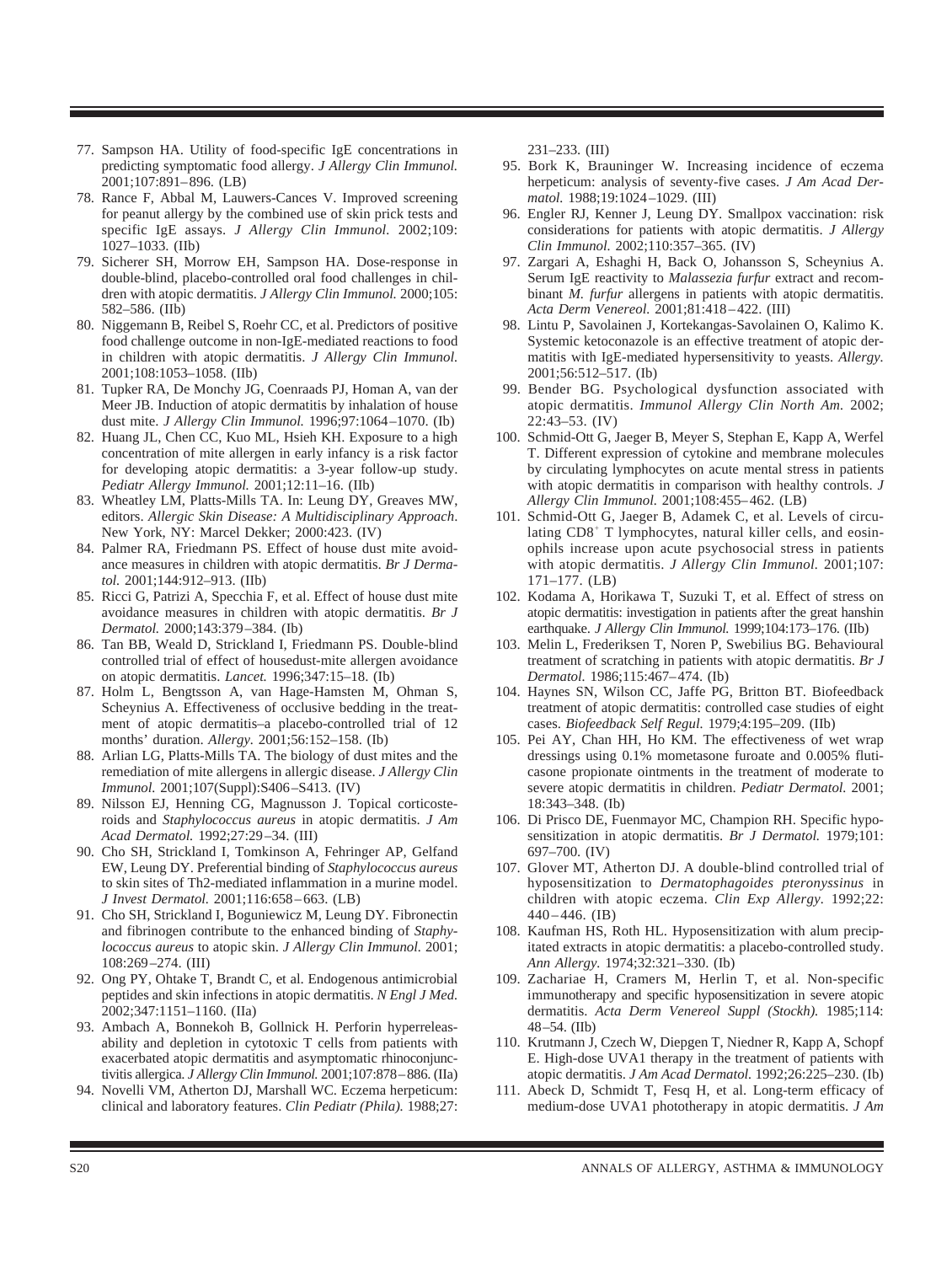- 77. Sampson HA. Utility of food-specific IgE concentrations in predicting symptomatic food allergy. *J Allergy Clin Immunol.* 2001;107:891–896. (LB)
- 78. Rance F, Abbal M, Lauwers-Cances V. Improved screening for peanut allergy by the combined use of skin prick tests and specific IgE assays. *J Allergy Clin Immunol.* 2002;109: 1027–1033. (IIb)
- 79. Sicherer SH, Morrow EH, Sampson HA. Dose-response in double-blind, placebo-controlled oral food challenges in children with atopic dermatitis. *J Allergy Clin Immunol.* 2000;105: 582–586. (IIb)
- 80. Niggemann B, Reibel S, Roehr CC, et al. Predictors of positive food challenge outcome in non-IgE-mediated reactions to food in children with atopic dermatitis. *J Allergy Clin Immunol.* 2001;108:1053–1058. (IIb)
- 81. Tupker RA, De Monchy JG, Coenraads PJ, Homan A, van der Meer JB. Induction of atopic dermatitis by inhalation of house dust mite. *J Allergy Clin Immunol.* 1996;97:1064–1070. (Ib)
- 82. Huang JL, Chen CC, Kuo ML, Hsieh KH. Exposure to a high concentration of mite allergen in early infancy is a risk factor for developing atopic dermatitis: a 3-year follow-up study. *Pediatr Allergy Immunol.* 2001;12:11–16. (IIb)
- 83. Wheatley LM, Platts-Mills TA. In: Leung DY, Greaves MW, editors. *Allergic Skin Disease: A Multidisciplinary Approach*. New York, NY: Marcel Dekker; 2000:423. (IV)
- 84. Palmer RA, Friedmann PS. Effect of house dust mite avoidance measures in children with atopic dermatitis. *Br J Dermatol.* 2001;144:912–913. (IIb)
- 85. Ricci G, Patrizi A, Specchia F, et al. Effect of house dust mite avoidance measures in children with atopic dermatitis. *Br J Dermatol.* 2000;143:379–384. (Ib)
- 86. Tan BB, Weald D, Strickland I, Friedmann PS. Double-blind controlled trial of effect of housedust-mite allergen avoidance on atopic dermatitis. *Lancet.* 1996;347:15–18. (Ib)
- 87. Holm L, Bengtsson A, van Hage-Hamsten M, Ohman S, Scheynius A. Effectiveness of occlusive bedding in the treatment of atopic dermatitis–a placebo-controlled trial of 12 months' duration. *Allergy.* 2001;56:152–158. (Ib)
- 88. Arlian LG, Platts-Mills TA. The biology of dust mites and the remediation of mite allergens in allergic disease. *J Allergy Clin Immunol.* 2001;107(Suppl):S406–S413. (IV)
- 89. Nilsson EJ, Henning CG, Magnusson J. Topical corticosteroids and *Staphylococcus aureus* in atopic dermatitis. *J Am Acad Dermatol.* 1992;27:29–34. (III)
- 90. Cho SH, Strickland I, Tomkinson A, Fehringer AP, Gelfand EW, Leung DY. Preferential binding of *Staphylococcus aureus* to skin sites of Th2-mediated inflammation in a murine model. *J Invest Dermatol.* 2001;116:658–663. (LB)
- 91. Cho SH, Strickland I, Boguniewicz M, Leung DY. Fibronectin and fibrinogen contribute to the enhanced binding of *Staphylococcus aureus* to atopic skin. *J Allergy Clin Immunol.* 2001; 108:269–274. (III)
- 92. Ong PY, Ohtake T, Brandt C, et al. Endogenous antimicrobial peptides and skin infections in atopic dermatitis. *N Engl J Med.* 2002;347:1151–1160. (IIa)
- 93. Ambach A, Bonnekoh B, Gollnick H. Perforin hyperreleasability and depletion in cytotoxic T cells from patients with exacerbated atopic dermatitis and asymptomatic rhinoconjunctivitis allergica. *J Allergy Clin Immunol.* 2001;107:878–886. (IIa)
- 94. Novelli VM, Atherton DJ, Marshall WC. Eczema herpeticum: clinical and laboratory features. *Clin Pediatr (Phila).* 1988;27:

231–233. (III)

- 95. Bork K, Brauninger W. Increasing incidence of eczema herpeticum: analysis of seventy-five cases. *J Am Acad Dermatol.* 1988;19:1024–1029. (III)
- 96. Engler RJ, Kenner J, Leung DY. Smallpox vaccination: risk considerations for patients with atopic dermatitis. *J Allergy Clin Immunol.* 2002;110:357–365. (IV)
- 97. Zargari A, Eshaghi H, Back O, Johansson S, Scheynius A. Serum IgE reactivity to *Malassezia furfur* extract and recombinant *M. furfur* allergens in patients with atopic dermatitis. *Acta Derm Venereol.* 2001;81:418–422. (III)
- 98. Lintu P, Savolainen J, Kortekangas-Savolainen O, Kalimo K. Systemic ketoconazole is an effective treatment of atopic dermatitis with IgE-mediated hypersensitivity to yeasts. *Allergy.* 2001;56:512–517. (Ib)
- 99. Bender BG. Psychological dysfunction associated with atopic dermatitis. *Immunol Allergy Clin North Am.* 2002; 22:43–53. (IV)
- 100. Schmid-Ott G, Jaeger B, Meyer S, Stephan E, Kapp A, Werfel T. Different expression of cytokine and membrane molecules by circulating lymphocytes on acute mental stress in patients with atopic dermatitis in comparison with healthy controls. *J Allergy Clin Immunol.* 2001;108:455–462. (LB)
- 101. Schmid-Ott G, Jaeger B, Adamek C, et al. Levels of circulating CD8<sup>+</sup> T lymphocytes, natural killer cells, and eosinophils increase upon acute psychosocial stress in patients with atopic dermatitis. *J Allergy Clin Immunol.* 2001;107: 171–177. (LB)
- 102. Kodama A, Horikawa T, Suzuki T, et al. Effect of stress on atopic dermatitis: investigation in patients after the great hanshin earthquake. *J Allergy Clin Immunol.* 1999;104:173–176. (IIb)
- 103. Melin L, Frederiksen T, Noren P, Swebilius BG. Behavioural treatment of scratching in patients with atopic dermatitis. *Br J Dermatol.* 1986;115:467–474. (Ib)
- 104. Haynes SN, Wilson CC, Jaffe PG, Britton BT. Biofeedback treatment of atopic dermatitis: controlled case studies of eight cases. *Biofeedback Self Regul.* 1979;4:195–209. (IIb)
- 105. Pei AY, Chan HH, Ho KM. The effectiveness of wet wrap dressings using 0.1% mometasone furoate and 0.005% fluticasone propionate ointments in the treatment of moderate to severe atopic dermatitis in children. *Pediatr Dermatol.* 2001; 18:343–348. (Ib)
- 106. Di Prisco DE, Fuenmayor MC, Champion RH. Specific hyposensitization in atopic dermatitis. *Br J Dermatol.* 1979;101: 697–700. (IV)
- 107. Glover MT, Atherton DJ. A double-blind controlled trial of hyposensitization to *Dermatophagoides pteronyssinus* in children with atopic eczema. *Clin Exp Allergy.* 1992;22:  $440 - 446.$  (IB)
- 108. Kaufman HS, Roth HL. Hyposensitization with alum precipitated extracts in atopic dermatitis: a placebo-controlled study. *Ann Allergy.* 1974;32:321–330. (Ib)
- 109. Zachariae H, Cramers M, Herlin T, et al. Non-specific immunotherapy and specific hyposensitization in severe atopic dermatitis. *Acta Derm Venereol Suppl (Stockh).* 1985;114: 48–54. (IIb)
- 110. Krutmann J, Czech W, Diepgen T, Niedner R, Kapp A, Schopf E. High-dose UVA1 therapy in the treatment of patients with atopic dermatitis. *J Am Acad Dermatol.* 1992;26:225–230. (Ib)
- 111. Abeck D, Schmidt T, Fesq H, et al. Long-term efficacy of medium-dose UVA1 phototherapy in atopic dermatitis. *J Am*